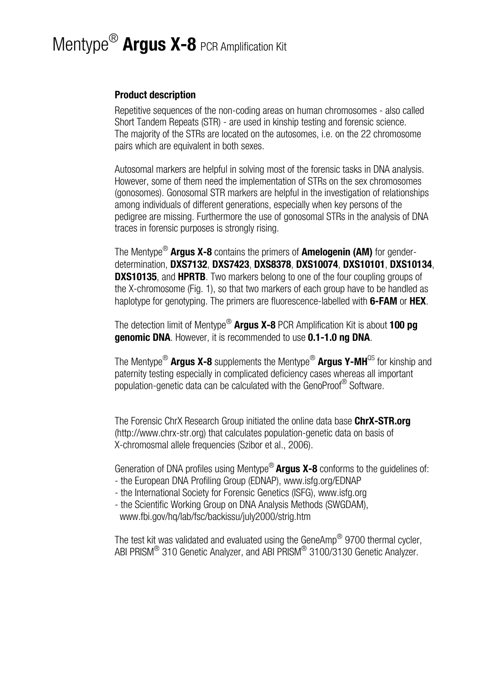# Mentype® **Argus X-8** PCR Amplification Kit

### **Product description**

Repetitive sequences of the non-coding areas on human chromosomes - also called Short Tandem Repeats (STR) - are used in kinship testing and forensic science. The majority of the STRs are located on the autosomes, i.e. on the 22 chromosome pairs which are equivalent in both sexes.

Autosomal markers are helpful in solving most of the forensic tasks in DNA analysis. However, some of them need the implementation of STRs on the sex chromosomes (gonosomes). Gonosomal STR markers are helpful in the investigation of relationships among individuals of different generations, especially when key persons of the pedigree are missing. Furthermore the use of gonosomal STRs in the analysis of DNA traces in forensic purposes is strongly rising.

The Mentype® **Argus X-8** contains the primers of **Amelogenin (AM)** for genderdetermination, **DXS7132**, **DXS7423**, **DXS8378**, **DXS10074**, **DXS10101**, **DXS10134**, **DXS10135**, and **HPRTB**. Two markers belong to one of the four coupling groups of the X-chromosome (Fig. 1), so that two markers of each group have to be handled as haplotype for genotyping. The primers are fluorescence-labelled with **6-FAM** or **HEX**.

The detection limit of Mentype® **Argus X-8** PCR Amplification Kit is about **100 pg genomic DNA**. However, it is recommended to use **0.1-1.0 ng DNA**.

The Mentype® **Argus X-8** supplements the Mentype® **Argus Y-MH**QS for kinship and paternity testing especially in complicated deficiency cases whereas all important population-genetic data can be calculated with the GenoProof® Software.

The Forensic ChrX Research Group initiated the online data base **ChrX-STR.org** [\(http://www.chrx-str.org](http://www.chrx-str.org/)) that calculates population-genetic data on basis of X-chromosmal allele frequencies (Szibor et al., 2006).

Generation of DNA profiles using Mentype® **Argus X-8** conforms to the guidelines of:

- the European DNA Profiling Group (EDNAP), [www.isfg.org/EDNAP](http://www.isfg.org/EDNAP)
- the International Society for Forensic Genetics (ISFG), [www.isfg.org](http://www.isfg.org/)
- the Scientific Working Group on DNA Analysis Methods (SWGDAM), [www.fbi.gov/hq/lab/fsc/backissu/july2000/strig.htm](http://www.fbi.gov/hq/lab/fsc/backissu/july2000/strig.htm)

The test kit was validated and evaluated using the GeneAmp<sup>®</sup> 9700 thermal cycler, ABI PRISM® 310 Genetic Analyzer, and ABI PRISM® 3100/3130 Genetic Analyzer.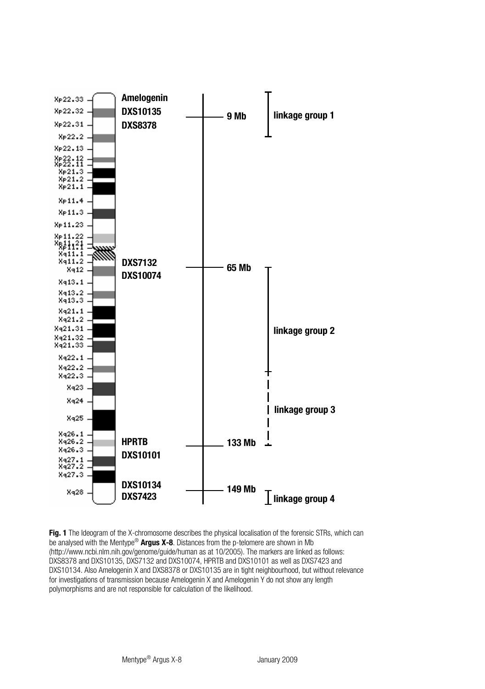

**Fig. 1** The Ideogram of the X-chromosome describes the physical localisation of the forensic STRs, which can be analysed with the Mentype® **Argus X-8**. Distances from the p-telomere are shown in Mb [\(http://www.ncbi.nlm.nih.gov/genome/guide/human](http://www.ncbi.nlm.nih.gov/genome/guide/human) as at 10/2005). The markers are linked as follows: DXS8378 and DXS10135, DXS7132 and DXS10074, HPRTB and DXS10101 as well as DXS7423 and DXS10134. Also Amelogenin X and DXS8378 or DXS10135 are in tight neighbourhood, but without relevance for investigations of transmission because Amelogenin X and Amelogenin Y do not show any length polymorphisms and are not responsible for calculation of the likelihood.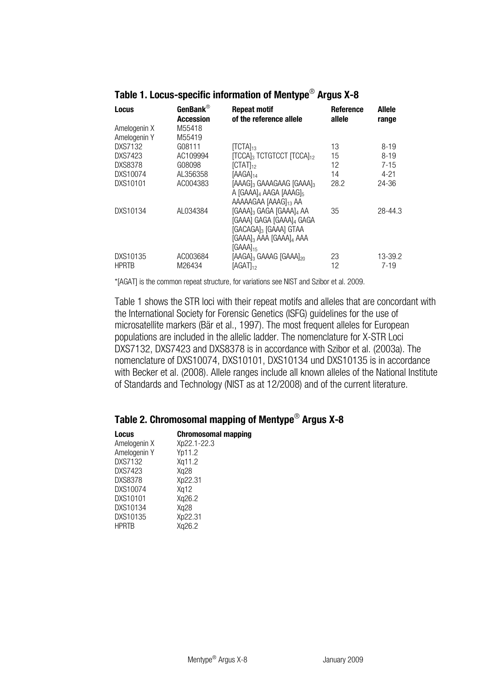| Locus                        | GenBank $^\circledR$<br>Accession | <b>Repeat motif</b><br>of the reference allele                                                                           | Reference<br>allele | Allele<br>range |
|------------------------------|-----------------------------------|--------------------------------------------------------------------------------------------------------------------------|---------------------|-----------------|
| Amelogenin X<br>Amelogenin Y | M55418<br>M55419                  |                                                                                                                          |                     |                 |
| DXS7132                      | G08111                            | $[TCTA]_{13}$                                                                                                            | 13                  | $8 - 19$        |
| DXS7423                      | AC109994                          | <b>[TCCA]</b> <sub>3</sub> TCTGTCCT [TCCA] <sub>12</sub>                                                                 | 15                  | $8 - 19$        |
| <b>DXS8378</b>               | G08098                            | $\text{ICTAT}_{12}$                                                                                                      | 12                  | $7 - 15$        |
| DXS10074                     | AI 356358                         | [AAGA] <sub>14</sub>                                                                                                     | 14                  | $4 - 21$        |
| DXS10101                     | AC004383                          | [AAAG]3 GAAAGAAG [GAAA]3<br>A [GAAA]4 AAGA [AAAG]5<br>AAAAAGAA [AAAG] <sub>13</sub> AA                                   | 28.2                | 24-36           |
| DXS10134                     | AI 034384                         | [GAAA]3 GAGA [GAAA]4 AA<br>[GAAA] GAGA [GAAA]4 GAGA<br>[GACAGA]3 [GAAA] GTAA<br>[GAAA]3 AAA [GAAA]4 AAA<br>$[GAAA]_{15}$ | 35                  | 28-44.3         |
| DXS10135                     | AC003684                          | [AAGA]3 GAAAG [GAAA]20                                                                                                   | 23                  | 13-39.2         |
| <b>HPRTB</b>                 | M26434                            | [AGAT <sub>12</sub> ]                                                                                                    | 12                  | $7-19$          |

# **Table 1. Locus-specific information of Mentype**® **Argus X-8**

\*[AGAT] is the common repeat structure, for variations see NIST and Szibor et al. 2009.

Table 1 shows the STR loci with their repeat motifs and alleles that are concordant with the International Society for Forensic Genetics (ISFG) guidelines for the use of microsatellite markers (Bär et al., 1997). The most frequent alleles for European populations are included in the allelic ladder. The nomenclature for X-STR Loci DXS7132, DXS7423 and DXS8378 is in accordance with Szibor et al. (2003a). The nomenclature of DXS10074, DXS10101, DXS10134 und DXS10135 is in accordance with Becker et al. (2008). Allele ranges include all known alleles of the National Institute of Standards and Technology (NIST as at 12/2008) and of the current literature.

# **Table 2. Chromosomal mapping of Mentype**® **Argus X-8**

| Locus          | <b>Chromosomal mapping</b> |
|----------------|----------------------------|
| Amelogenin X   | Xp22.1-22.3                |
| Amelogenin Y   | Yp11.2                     |
| DXS7132        | Xq11.2                     |
| DXS7423        | Xg28                       |
| <b>DXS8378</b> | Xp22.31                    |
| DXS10074       | Xq12                       |
| DXS10101       | Xg26.2                     |
| DXS10134       | Xg28                       |
| DXS10135       | Xp22.31                    |
| <b>HPRTB</b>   | Xa26.2                     |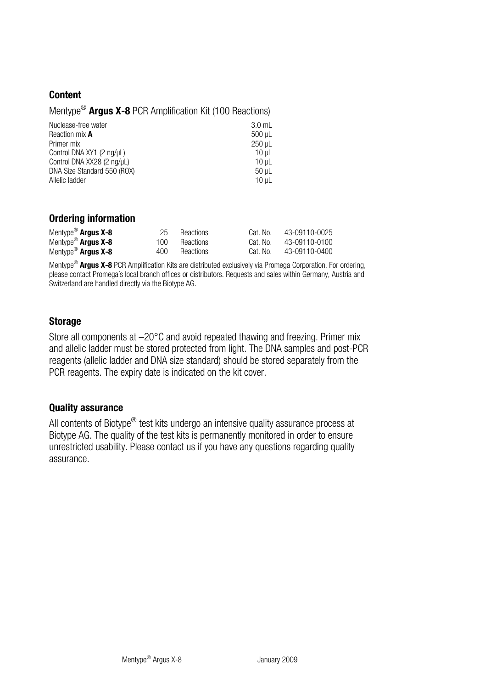### **Content**

| Mentype <sup>®</sup> Argus X-8 PCR Amplification Kit (100 Reactions) |
|----------------------------------------------------------------------|
|----------------------------------------------------------------------|

| Nuclease-free water         | $3.0$ ml |
|-----------------------------|----------|
| Reaction mix A              | 500 uL   |
| Primer mix                  | 250 uL   |
| Control DNA XY1 (2 ng/µL)   | 10 uL    |
| Control DNA XX28 (2 na/uL)  | 10 uL    |
| DNA Size Standard 550 (ROX) | 50 uL    |
| Allelic ladder              | 10 uL    |

### **Ordering information**

| Mentype <sup>®</sup> Argus X-8 | 25   | Reactions | Cat. No. | 43-09110-0025 |
|--------------------------------|------|-----------|----------|---------------|
| Mentype <sup>®</sup> Argus X-8 | 100  | Reactions | Cat. No. | 43-09110-0100 |
| Mentype <sup>®</sup> Argus X-8 | 400. | Reactions | Cat. No. | 43-09110-0400 |

Mentype® **Argus X-8** PCR Amplification Kits are distributed exclusively via Promega Corporation. For ordering, please contact Promega´s local branch offices or distributors. Requests and sales within Germany, Austria and Switzerland are handled directly via the Biotype AG.

### **Storage**

Store all components at –20°C and avoid repeated thawing and freezing. Primer mix and allelic ladder must be stored protected from light. The DNA samples and post-PCR reagents (allelic ladder and DNA size standard) should be stored separately from the PCR reagents. The expiry date is indicated on the kit cover.

### **Quality assurance**

All contents of Biotype<sup>®</sup> test kits undergo an intensive quality assurance process at Biotype AG. The quality of the test kits is permanently monitored in order to ensure unrestricted usability. Please contact us if you have any questions regarding quality assurance.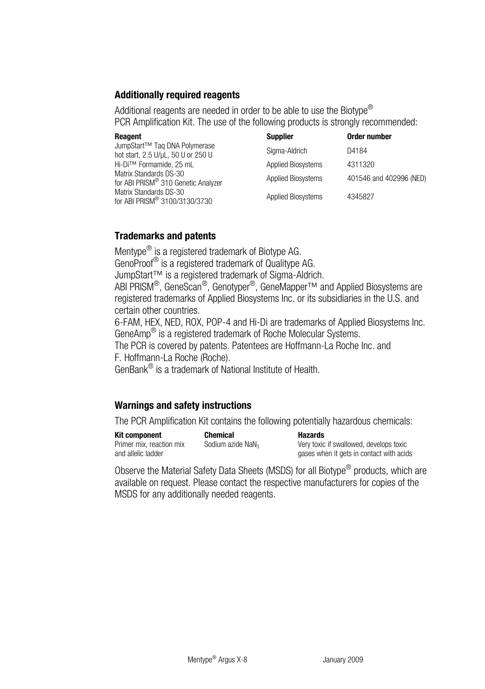# **Additionally required reagents**

Additional reagents are needed in order to be able to use the Biotype<sup>®</sup> PCR Amplification Kit. The use of the following products is strongly recommended:

| Reagent                                                                         | Supplier                  | Order number            |
|---------------------------------------------------------------------------------|---------------------------|-------------------------|
| JumpStart <sup>™</sup> Taq DNA Polymerase<br>hot start, 2.5 U/µL, 50 U or 250 U | Sigma-Aldrich             | D4184                   |
| Hi-Di™ Formamide, 25 mL                                                         | <b>Applied Biosystems</b> | 4311320                 |
| Matrix Standards DS-30<br>for ABI PRISM® 310 Genetic Analyzer                   | <b>Applied Biosystems</b> | 401546 and 402996 (NED) |
| Matrix Standards DS-30<br>for ABI PRISM® 3100/3130/3730                         | Applied Biosystems        | 4345827                 |

# **Trademarks and patents**

Mentype<sup>®</sup> is a registered trademark of Biotype AG.

GenoProof® is a registered trademark of Qualitype AG.

JumpStart™ is a registered trademark of Sigma-Aldrich.

ABI PRISM®, GeneScan®, Genotyper®, GeneMapper™ and Applied Biosystems are registered trademarks of Applied Biosystems Inc. or its subsidiaries in the U.S. and certain other countries.

6-FAM, HEX, NED, ROX, POP-4 and Hi-Di are trademarks of Applied Biosystems Inc. GeneAmp® is a registered trademark of Roche Molecular Systems.

The PCR is covered by patents. Patentees are Hoffmann-La Roche Inc. and F. Hoffmann-La Roche (Roche).

GenBank® is a trademark of National Institute of Health.

# **Warnings and safety instructions**

The PCR Amplification Kit contains the following potentially hazardous chemicals:

**Kit component Chemical Chemical Hazards**<br>
Primer mix. reaction mix Sodium azide NaN<sub>2</sub> Very toxic Primer mix, reaction mix and allelic ladder

Very toxic if swallowed, develops toxic gases when it gets in contact with acids

Observe the Material Safety Data Sheets (MSDS) for all Biotype<sup>®</sup> products, which are available on request. Please contact the respective manufacturers for copies of the MSDS for any additionally needed reagents.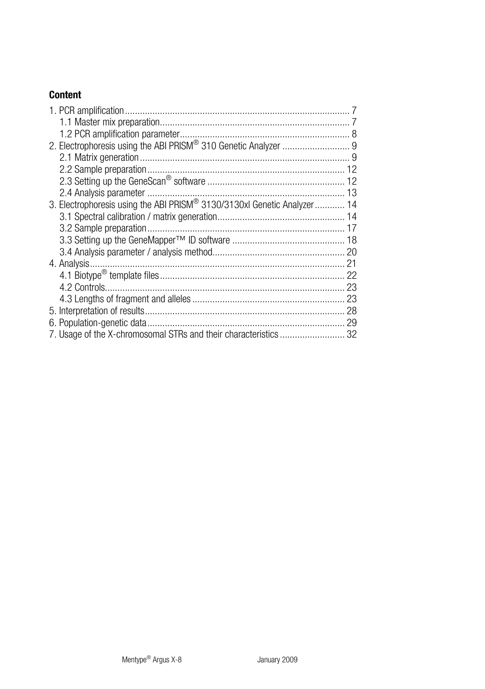# **Content**

| 2. Electrophoresis using the ABI PRISM® 310 Genetic Analyzer  9          |  |
|--------------------------------------------------------------------------|--|
|                                                                          |  |
|                                                                          |  |
|                                                                          |  |
|                                                                          |  |
| 3. Electrophoresis using the ABI PRISM® 3130/3130xl Genetic Analyzer  14 |  |
|                                                                          |  |
|                                                                          |  |
|                                                                          |  |
|                                                                          |  |
|                                                                          |  |
|                                                                          |  |
|                                                                          |  |
|                                                                          |  |
|                                                                          |  |
|                                                                          |  |
| 7. Usage of the X-chromosomal STRs and their characteristics  32         |  |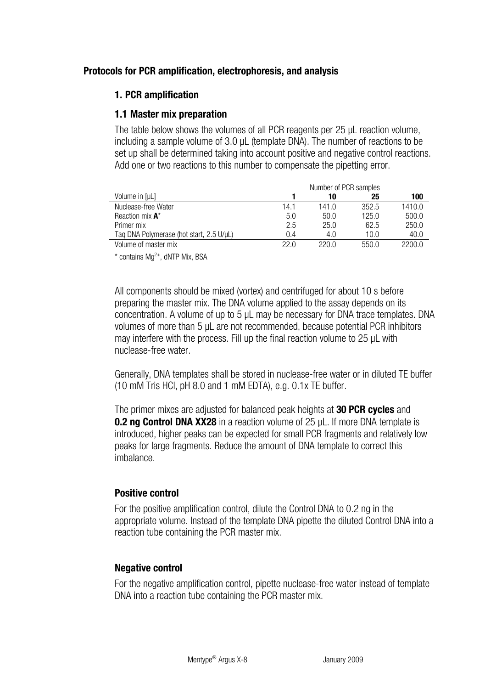# <span id="page-6-0"></span>**Protocols for PCR amplification, electrophoresis, and analysis**

# **1. PCR amplification**

# **1.1 Master mix preparation**

The table below shows the volumes of all PCR reagents per 25 μL reaction volume, including a sample volume of 3.0 μL (template DNA). The number of reactions to be set up shall be determined taking into account positive and negative control reactions. Add one or two reactions to this number to compensate the pipetting error.

|                                          | Number of PCR samples |       |       |        |
|------------------------------------------|-----------------------|-------|-------|--------|
| Volume in [µL]                           |                       | 10    | 25    | 100    |
| Nuclease-free Water                      | 14.1                  | 141.0 | 352.5 | 1410.0 |
| Reaction mix A*                          | 5.0                   | 50.0  | 125.0 | 500.0  |
| Primer mix                               | 2.5                   | 25.0  | 62.5  | 250.0  |
| Tag DNA Polymerase (hot start, 2.5 U/µL) | 0.4                   | 4.0   | 10.0  | 40.0   |
| Volume of master mix                     | 22.0                  | 2200  | 550.0 | 2200.0 |
|                                          |                       |       |       |        |

 $*$  contains  $Mq^{2+}$ , dNTP Mix, BSA

All components should be mixed (vortex) and centrifuged for about 10 s before preparing the master mix. The DNA volume applied to the assay depends on its concentration. A volume of up to 5 μL may be necessary for DNA trace templates. DNA volumes of more than 5 μL are not recommended, because potential PCR inhibitors may interfere with the process. Fill up the final reaction volume to 25 μL with nuclease-free water.

Generally, DNA templates shall be stored in nuclease-free water or in diluted TE buffer (10 mM Tris HCl, pH 8.0 and 1 mM EDTA), e.g. 0.1x TE buffer.

The primer mixes are adjusted for balanced peak heights at **30 PCR cycles** and **0.2 ng Control DNA XX28** in a reaction volume of 25 μL. If more DNA template is introduced, higher peaks can be expected for small PCR fragments and relatively low peaks for large fragments. Reduce the amount of DNA template to correct this imbalance.

# **Positive control**

For the positive amplification control, dilute the Control DNA to 0.2 ng in the appropriate volume. Instead of the template DNA pipette the diluted Control DNA into a reaction tube containing the PCR master mix.

# **Negative control**

For the negative amplification control, pipette nuclease-free water instead of template DNA into a reaction tube containing the PCR master mix.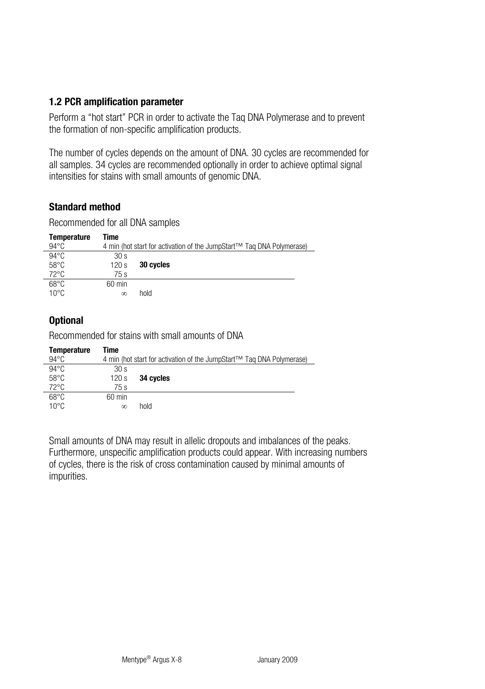# <span id="page-7-0"></span>**1.2 PCR amplification parameter**

Perform a "hot start" PCR in order to activate the Taq DNA Polymerase and to prevent the formation of non-specific amplification products.

The number of cycles depends on the amount of DNA. 30 cycles are recommended for all samples. 34 cycles are recommended optionally in order to achieve optimal signal intensities for stains with small amounts of genomic DNA.

# **Standard method**

Recommended for all DNA samples

| Temperature    | Time            |                                                                       |
|----------------|-----------------|-----------------------------------------------------------------------|
| $94^{\circ}$ C |                 | 4 min (hot start for activation of the JumpStart™ Tag DNA Polymerase) |
| $94^{\circ}$ C | 30 <sub>s</sub> |                                                                       |
| $58^{\circ}$ C | 120 s           | 30 cycles                                                             |
| $72^{\circ}$ C | 75 s            |                                                                       |
| $68^{\circ}$ C | $60$ min        |                                                                       |
| $10^{\circ}$ C | $\infty$        | hold                                                                  |

# **Optional**

Recommended for stains with small amounts of DNA

| Temperature    | Time            |                                                                       |
|----------------|-----------------|-----------------------------------------------------------------------|
| $94^{\circ}$ C |                 | 4 min (hot start for activation of the JumpStart™ Tag DNA Polymerase) |
| $94^{\circ}$ C | 30 <sub>s</sub> |                                                                       |
| $58^{\circ}$ C | 120 s           | 34 cycles                                                             |
| $72^{\circ}$ C | 75 s            |                                                                       |
| $68^{\circ}$ C | $60$ min        |                                                                       |
| $10^{\circ}$ C | $\infty$        | hold                                                                  |

Small amounts of DNA may result in allelic dropouts and imbalances of the peaks. Furthermore, unspecific amplification products could appear. With increasing numbers of cycles, there is the risk of cross contamination caused by minimal amounts of impurities.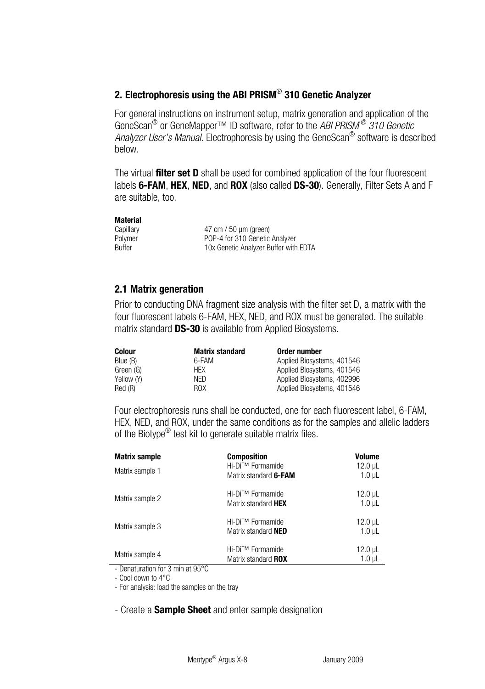# <span id="page-8-0"></span>**2. Electrophoresis using the ABI PRISM**® **310 Genetic Analyzer**

For general instructions on instrument setup, matrix generation and application of the GeneScan® or GeneMapper™ ID software, refer to the *ABI PRISM ® 310 Genetic Analyzer User's Manual*. Electrophoresis by using the GeneScan® software is described below.

The virtual **filter set D** shall be used for combined application of the four fluorescent labels **6-FAM**, **HEX**, **NED**, and **ROX** (also called **DS-30**). Generally, Filter Sets A and F are suitable, too.

#### **Material**

Capillary 47 cm / 50 μm (green) Polymer POP-4 for 310 Genetic Analyzer Buffer 10x Genetic Analyzer Buffer with EDTA

# **2.1 Matrix generation**

Prior to conducting DNA fragment size analysis with the filter set D, a matrix with the four fluorescent labels 6-FAM, HEX, NED, and ROX must be generated. The suitable matrix standard **DS-30** is available from Applied Biosystems.

| Colour     | <b>Matrix standard</b> | Order number               |
|------------|------------------------|----------------------------|
| Blue (B)   | 6-FAM                  | Applied Biosystems, 401546 |
| Green (G)  | HFX                    | Applied Biosystems, 401546 |
| Yellow (Y) | NFD.                   | Applied Biosystems, 402996 |
| Red (R)    | <b>ROX</b>             | Applied Biosystems, 401546 |

Four electrophoresis runs shall be conducted, one for each fluorescent label, 6-FAM, HEX, NED, and ROX, under the same conditions as for the samples and allelic ladders of the Biotype<sup>®</sup> test kit to generate suitable matrix files.

| <b>Matrix sample</b><br>Matrix sample 1 | <b>Composition</b><br>Hi-Di™ Formamide<br>Matrix standard 6-FAM | <b>Volume</b><br>$12.0$ µL<br>$1.0$ $\mu$ |
|-----------------------------------------|-----------------------------------------------------------------|-------------------------------------------|
| Matrix sample 2                         | Hi-Di™ Formamide<br>Matrix standard HEX                         | $12.0 \mu L$<br>$1.0 \mu L$               |
| Matrix sample 3                         | Hi-Di™ Formamide<br>Matrix standard NED                         | $12.0$ µL<br>$1.0$ uL                     |
| Matrix sample 4<br>.                    | Hi-Di™ Formamide<br>Matrix standard ROX                         | $12.0$ µL<br>$1.0$ µL                     |

- Denaturation for 3 min at 95°C

- Cool down to 4°C

- For analysis: load the samples on the tray

- Create a **Sample Sheet** and enter sample designation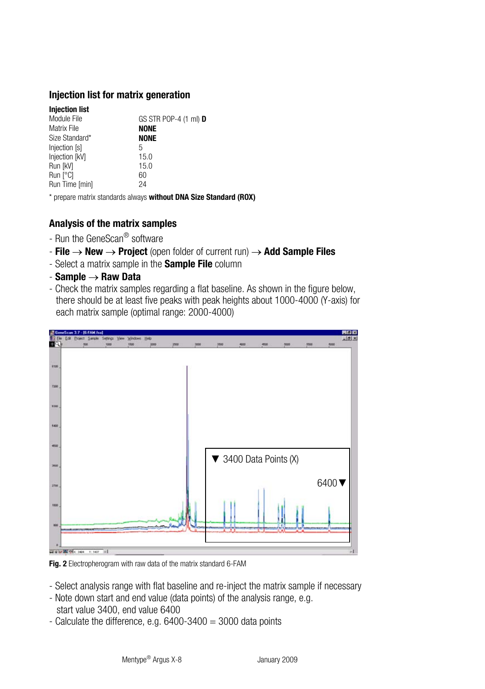### **Injection list for matrix generation**

10

| <b>Injection list</b> |                              |
|-----------------------|------------------------------|
| Module File           | GS STR POP-4 (1 ml) <b>D</b> |
| Matrix File           | <b>NONE</b>                  |
| Size Standard*        | <b>NONE</b>                  |
| Injection [s]         | 5                            |
| Injection [kV]        | 15.0                         |
| Run [kV]              | 15.0                         |
| Run [°C]              | 60                           |
| Run Time [min]        | 24                           |
|                       |                              |

\* prepare matrix standards always **without DNA Size Standard (ROX)** 

# **Analysis of the matrix samples**

- Run the GeneScan® software
- **File** → **New** → **Project** (open folder of current run) → **Add Sample Files**
- Select a matrix sample in the **Sample File** column
- **Sample** → **Raw Data**
- Check the matrix samples regarding a flat baseline. As shown in the figure below, there should be at least five peaks with peak heights about 1000-4000 (Y-axis) for each matrix sample (optimal range: 2000-4000)



**Fig. 2** Electropherogram with raw data of the matrix standard 6-FAM

- Select analysis range with flat baseline and re-inject the matrix sample if necessary
- Note down start and end value (data points) of the analysis range, e.g. start value 3400, end value 6400
- Calculate the difference, e.g.  $6400-3400 = 3000$  data points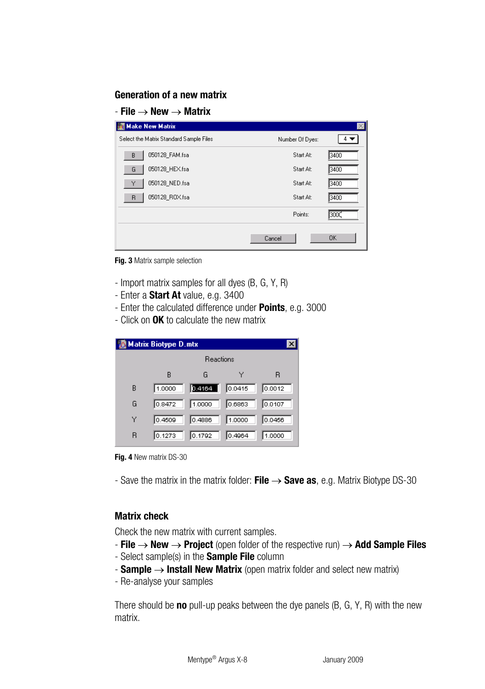### **Generation of a new matrix**

### - **File** → **New** → **Matrix**

| <b>Make New Matrix</b>                  |                 | $\times$  |
|-----------------------------------------|-----------------|-----------|
| Select the Matrix Standard Sample Files | Number Of Dyes: |           |
| 050128_FAM.fsa<br>B                     | Start At:       | 3400      |
| 050128 HEX.fsa<br>G                     | Start At:       | 3400      |
| 050128 NED.fsa<br>Y                     | Start At:       | 3400      |
| 050128 ROX.fsa<br>R                     | Start At:       | 3400      |
|                                         | Points:         | 3000      |
|                                         | Cancel          | <b>OK</b> |
|                                         |                 |           |

**Fig. 3** Matrix sample selection

- Import matrix samples for all dyes (B, G, Y, R)
- Enter a **Start At** value, e.g. 3400
- Enter the calculated difference under **Points**, e.g. 3000
- Click on **OK** to calculate the new matrix

|   | <b>Matrix Biotype D.mtx</b> |                  |        |        |
|---|-----------------------------|------------------|--------|--------|
|   |                             | <b>Beactions</b> |        |        |
|   | B                           | G                |        | R      |
| B | 1.0000                      | 0.4164<br>н      | 0.0415 | 0.0012 |
| G | 0.8472                      | 1.0000           | 0.6863 | 0.0107 |
| Υ | 0.4509                      | 0.4886           | 1.0000 | 0.0456 |
| в | 10.1273                     | 0.1792           | 0.4964 | 1.0000 |

**Fig. 4** New matrix DS-30

- Save the matrix in the matrix folder: **File** → **Save as**, e.g. Matrix Biotype DS-30

# **Matrix check**

Check the new matrix with current samples.

- **File** → **New** → **Project** (open folder of the respective run) → **Add Sample Files**
- Select sample(s) in the **Sample File** column
- **Sample** → **Install New Matrix** (open matrix folder and select new matrix)
- Re-analyse your samples

There should be **no** pull-up peaks between the dye panels (B, G, Y, R) with the new matrix.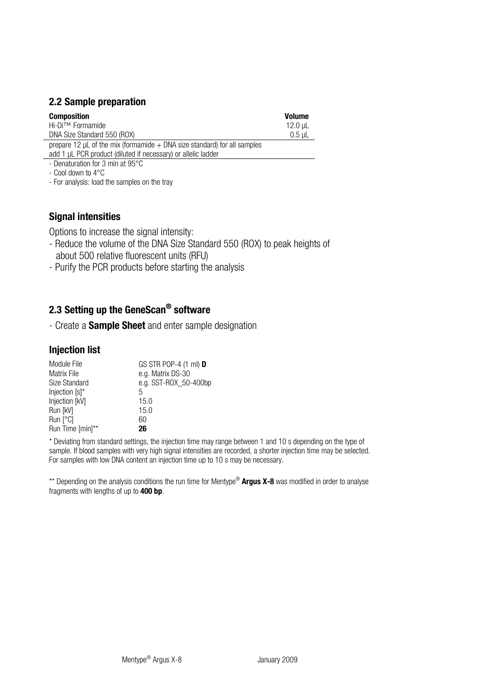# <span id="page-11-0"></span>**2.2 Sample preparation**

| Composition                                                                | Volume  |
|----------------------------------------------------------------------------|---------|
| Hi-Di™ Formamide                                                           | 12.0 µL |
| DNA Size Standard 550 (ROX)                                                | 0.5 uL  |
| proposed 12 ull of the mix (formamide + DNA eize standard) for all camples |         |

prepare 12 μL of the mix (formamide + DNA size standard) for all samples add 1 μL PCR product (diluted if necessary) or allelic ladder

- Denaturation for 3 min at 95°C

- Cool down to 4°C

- For analysis: load the samples on the tray

# **Signal intensities**

Options to increase the signal intensity:

- Reduce the volume of the DNA Size Standard 550 (ROX) to peak heights of about 500 relative fluorescent units (RFU)
- Purify the PCR products before starting the analysis

# **2.3 Setting up the GeneScan® software**

- Create a **Sample Sheet** and enter sample designation

# **Injection list**

| GS STR POP-4 (1 ml) <b>D</b> |
|------------------------------|
| e.g. Matrix DS-30            |
| e.g. SST-ROX 50-400bp        |
| 5                            |
| 15.0                         |
| 15.0                         |
| 60                           |
| 26                           |
|                              |

\* Deviating from standard settings, the injection time may range between 1 and 10 s depending on the type of sample. If blood samples with very high signal intensities are recorded, a shorter injection time may be selected. For samples with low DNA content an injection time up to 10 s may be necessary.

\*\* Depending on the analysis conditions the run time for Mentype® **Argus X-8** was modified in order to analyse fragments with lengths of up to **400 bp**.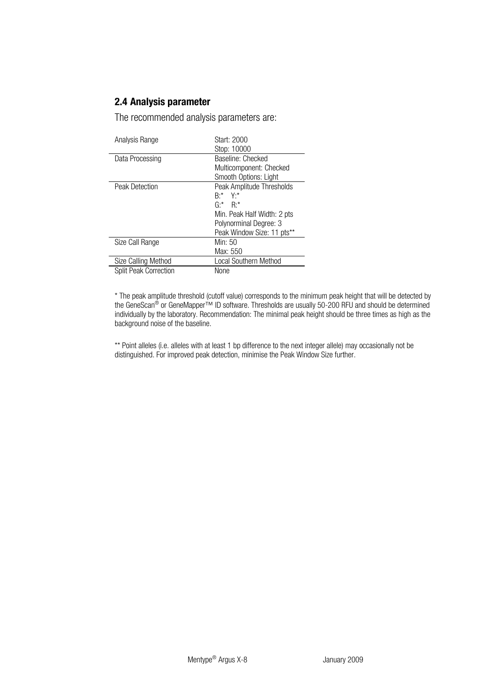# <span id="page-12-0"></span>**2.4 Analysis parameter**

The recommended analysis parameters are:

| Analysis Range        | Start: 2000<br>Stop: 10000  |
|-----------------------|-----------------------------|
| Data Processing       | <b>Baseline: Checked</b>    |
|                       | Multicomponent: Checked     |
|                       | Smooth Options: Light       |
| <b>Peak Detection</b> | Peak Amplitude Thresholds   |
|                       | $R^{**}$ Y <sup>*</sup>     |
|                       | $G^*$ $R^*$                 |
|                       | Min. Peak Half Width: 2 pts |
|                       | Polynorminal Degree: 3      |
|                       | Peak Window Size: 11 pts**  |
| Size Call Range       | Min: 50                     |
|                       | Max: 550                    |
| Size Calling Method   | Local Southern Method       |
| Split Peak Correction | None                        |

\* The peak amplitude threshold (cutoff value) corresponds to the minimum peak height that will be detected by the GeneScan® or GeneMapper™ ID software. Thresholds are usually 50-200 RFU and should be determined individually by the laboratory. Recommendation: The minimal peak height should be three times as high as the background noise of the baseline.

\*\* Point alleles (i.e. alleles with at least 1 bp difference to the next integer allele) may occasionally not be distinguished. For improved peak detection, minimise the Peak Window Size further.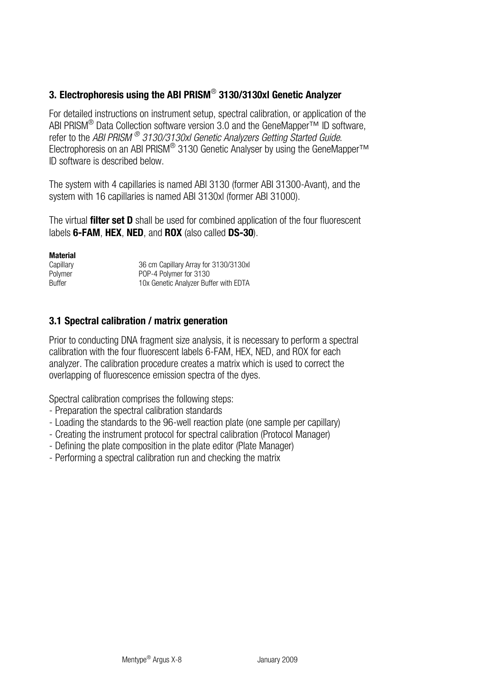# <span id="page-13-0"></span>**3. Electrophoresis using the ABI PRISM**® **3130/3130xl Genetic Analyzer**

For detailed instructions on instrument setup, spectral calibration, or application of the ABI PRISM<sup>®</sup> Data Collection software version 3.0 and the GeneMapper™ ID software, refer to the *ABI PRISM ® 3130/3130xl Genetic Analyzers Getting Started Guide*. Electrophoresis on an ABI PRISM® 3130 Genetic Analyser by using the GeneMapper™ ID software is described below.

The system with 4 capillaries is named ABI 3130 (former ABI 31300-Avant), and the system with 16 capillaries is named ABI 3130xl (former ABI 31000).

The virtual **filter set D** shall be used for combined application of the four fluorescent labels **6-FAM**, **HEX**, **NED**, and **ROX** (also called **DS-30**).

#### **Material**

| Capillary | 36 cm Capillary Array for 3130/3130xl |
|-----------|---------------------------------------|
| Polymer   | POP-4 Polymer for 3130                |
| Buffer    | 10x Genetic Analyzer Buffer with EDTA |

### **3.1 Spectral calibration / matrix generation**

Prior to conducting DNA fragment size analysis, it is necessary to perform a spectral calibration with the four fluorescent labels 6-FAM, HEX, NED, and ROX for each analyzer. The calibration procedure creates a matrix which is used to correct the overlapping of fluorescence emission spectra of the dyes.

Spectral calibration comprises the following steps:

- Preparation the spectral calibration standards
- Loading the standards to the 96-well reaction plate (one sample per capillary)
- Creating the instrument protocol for spectral calibration (Protocol Manager)
- Defining the plate composition in the plate editor (Plate Manager)
- Performing a spectral calibration run and checking the matrix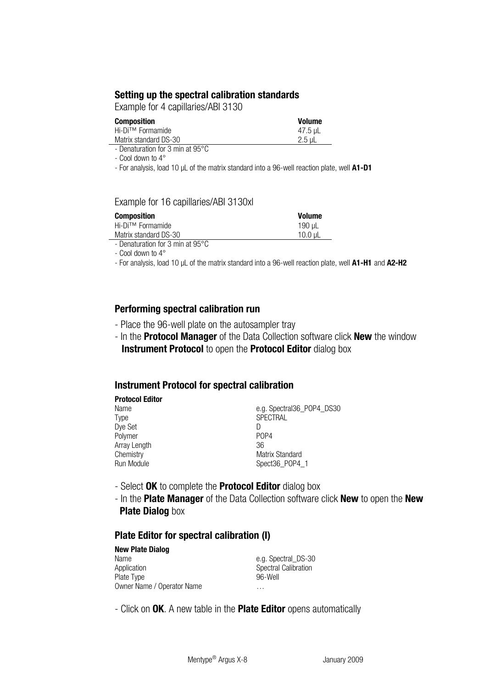### **Setting up the spectral calibration standards**

Example for 4 capillaries/ABI 3130

| Composition           | <b>Volume</b> |
|-----------------------|---------------|
| Hi-Di™ Formamide      | 47.5 µL       |
| Matrix standard DS-30 | 2.5 uL        |

- Denaturation for 3 min at 95°C

- Cool down to 4°

- For analysis, load 10 μL of the matrix standard into a 96-well reaction plate, well **A1-D1**

### Example for 16 capillaries/ABI 3130xl

| Composition           | <b>Volume</b> |
|-----------------------|---------------|
| Hi-Di™ Formamide      | 190 µL        |
| Matrix standard DS-30 | $10.0$ uL     |

- Denaturation for 3 min at 95°C

- Cool down to 4°

- For analysis, load 10 μL of the matrix standard into a 96-well reaction plate, well **A1-H1** and **A2-H2**

### **Performing spectral calibration run**

- Place the 96-well plate on the autosampler tray
- In the **Protocol Manager** of the Data Collection software click **New** the window **Instrument Protocol** to open the **Protocol Editor** dialog box

#### **Instrument Protocol for spectral calibration**

| <b>Protocol Editor</b> |                               |
|------------------------|-------------------------------|
| Name                   | e.g. Spectral36 POP4 DS30     |
| Type                   | <b>SPECTRAL</b>               |
| Dye Set                |                               |
| Polymer                | P <sub>O</sub> P <sub>4</sub> |
| Array Length           | 36                            |
| Chemistry              | Matrix Standard               |
| Run Module             | Spect36_POP4_1                |

- Select **OK** to complete the **Protocol Editor** dialog box
- In the **Plate Manager** of the Data Collection software click **New** to open the **New Plate Dialog** box

### **Plate Editor for spectral calibration (I)**

| <b>New Plate Dialog</b>    |                      |
|----------------------------|----------------------|
| Name                       | e.g. Spectral DS-30  |
| Application                | Spectral Calibration |
| Plate Type                 | 96-Well              |
| Owner Name / Operator Name | $\cdots$             |

- Click on **OK**. A new table in the **Plate Editor** opens automatically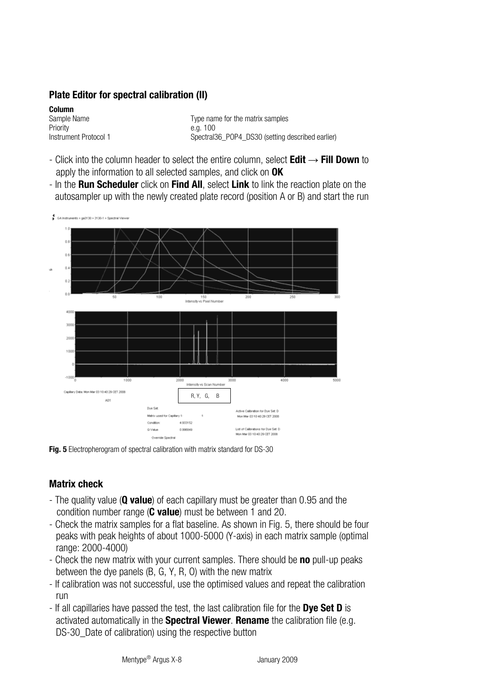# **Plate Editor for spectral calibration (II)**

**Column**  Priority e.g. 100<br>
Instrument Protocol 1 Spectral

16

Type name for the matrix samples Spectral36\_POP4\_DS30 (setting described earlier)

- Click into the column header to select the entire column, select **Edit** → **Fill Down** to apply the information to all selected samples, and click on **OK**
- In the **Run Scheduler** click on **Find All**, select **Link** to link the reaction plate on the autosampler up with the newly created plate record (position A or B) and start the run



**Fig. 5** Electropherogram of spectral calibration with matrix standard for DS-30

# **Matrix check**

- The quality value (**Q value**) of each capillary must be greater than 0.95 and the condition number range (**C value**) must be between 1 and 20.
- Check the matrix samples for a flat baseline. As shown in Fig. 5, there should be four peaks with peak heights of about 1000-5000 (Y-axis) in each matrix sample (optimal range: 2000-4000)
- Check the new matrix with your current samples. There should be **no** pull-up peaks between the dye panels (B, G, Y, R, O) with the new matrix
- If calibration was not successful, use the optimised values and repeat the calibration run
- If all capillaries have passed the test, the last calibration file for the **Dye Set D** is activated automatically in the **Spectral Viewer**. **Rename** the calibration file (e.g. DS-30\_Date of calibration) using the respective button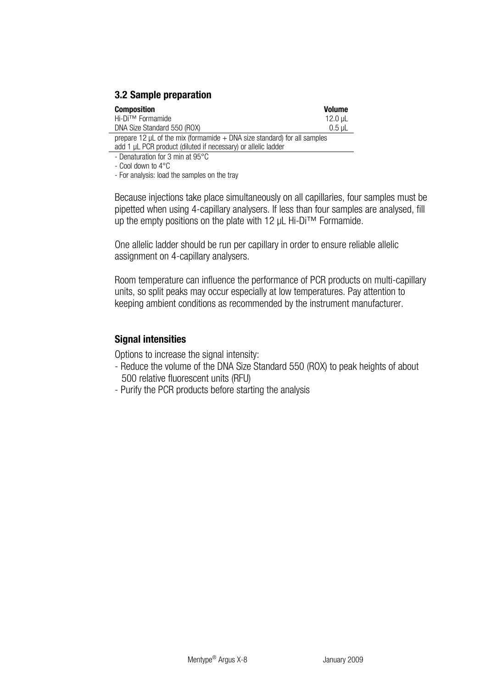<span id="page-16-0"></span>

| Composition                                                                     | Volume   |
|---------------------------------------------------------------------------------|----------|
| Hi-Di™ Formamide                                                                | 12.0 uL  |
| DNA Size Standard 550 (ROX)                                                     | $0.5$ uL |
| prepare 12 $\mu$ L of the mix (formamide $+$ DNA size standard) for all samples |          |
| add 1 µL PCR product (diluted if necessary) or allelic ladder                   |          |

- Denaturation for 3 min at 95°C

- Cool down to 4°C

- For analysis: load the samples on the tray

Because injections take place simultaneously on all capillaries, four samples must be pipetted when using 4-capillary analysers. If less than four samples are analysed, fill up the empty positions on the plate with 12 μL Hi-Di™ Formamide.

One allelic ladder should be run per capillary in order to ensure reliable allelic assignment on 4-capillary analysers.

Room temperature can influence the performance of PCR products on multi-capillary units, so split peaks may occur especially at low temperatures. Pay attention to keeping ambient conditions as recommended by the instrument manufacturer.

### **Signal intensities**

Options to increase the signal intensity:

- Reduce the volume of the DNA Size Standard 550 (ROX) to peak heights of about 500 relative fluorescent units (RFU)
- Purify the PCR products before starting the analysis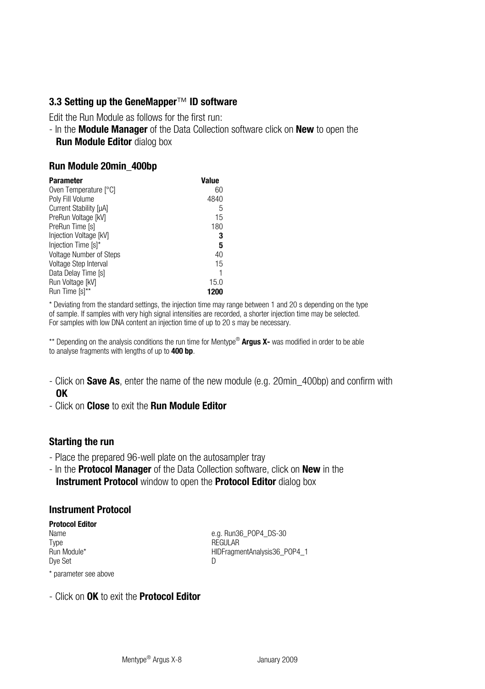### <span id="page-17-0"></span>**3.3 Setting up the GeneMapper**™ **ID software**

Edit the Run Module as follows for the first run:

- In the **Module Manager** of the Data Collection software click on **New** to open the **Run Module Editor** dialog box

### **Run Module 20min\_400bp**

| Parameter               | Value |
|-------------------------|-------|
| Oven Temperature [°C]   | 60    |
| Poly Fill Volume        | 4840  |
| Current Stability [µA]  | 5     |
| PreRun Voltage [kV]     | 15    |
| PreRun Time [s]         | 180   |
| Injection Voltage [kV]  | 3     |
| Injection Time [s]*     | 5     |
| Voltage Number of Steps | 40    |
| Voltage Step Interval   | 15    |
| Data Delay Time [s]     |       |
| Run Voltage [kV]        | 15.0  |
| Run Time [s]**          | 1200  |

\* Deviating from the standard settings, the injection time may range between 1 and 20 s depending on the type of sample. If samples with very high signal intensities are recorded, a shorter injection time may be selected. For samples with low DNA content an injection time of up to 20 s may be necessary.

\*\* Depending on the analysis conditions the run time for Mentype® **Argus X-** was modified in order to be able to analyse fragments with lengths of up to **400 bp**.

- Click on **Save As**, enter the name of the new module (e.g. 20min\_400bp) and confirm with **OK**
- Click on **Close** to exit the **Run Module Editor**

### **Starting the run**

- Place the prepared 96-well plate on the autosampler tray
- In the **Protocol Manager** of the Data Collection software, click on **New** in the **Instrument Protocol** window to open the **Protocol Editor** dialog box

### **Instrument Protocol**

# **Protocol Editor**  Type REGULAR Dye Set Discovery and Discovery and Discovery and Discovery and Discovery and Discovery and Discovery and Discovery and Discovery and Discovery and Discovery and Discovery and Discovery and Discovery and Discovery and Disc

e.g. Run36\_POP4\_DS-30 HIDFragmentAnalysis36\_POP4\_1

\* parameter see above

### - Click on **OK** to exit the **Protocol Editor**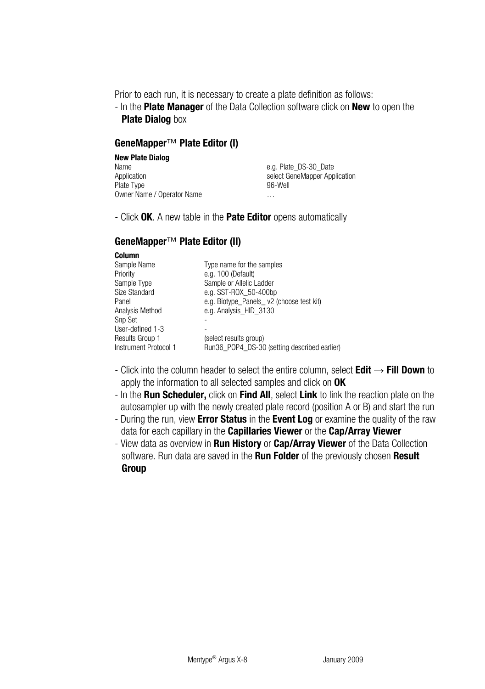Prior to each run, it is necessary to create a plate definition as follows:

- In the **Plate Manager** of the Data Collection software click on **New** to open the **Plate Dialog** box

### **GeneMapper**™ **Plate Editor (I)**

| <b>New Plate Dialog</b>    |                               |
|----------------------------|-------------------------------|
| Name                       | e.g. Plate DS-30 Date         |
| Application                | select GeneMapper Application |
| Plate Type                 | 96-Well                       |
| Owner Name / Operator Name | $\cdots$                      |

- Click **OK**. A new table in the **Pate Editor** opens automatically

# **GeneMapper**™ **Plate Editor (II)**

#### **Column**

| Sample Name<br>Priority<br>Sample Type<br>Size Standard<br>Panel<br>Analysis Method<br>Snp Set | Type name for the samples<br>e.g. 100 (Default)<br>Sample or Allelic Ladder<br>e.g. SST-ROX 50-400bp<br>e.g. Biotype Panels v2 (choose test kit)<br>e.g. Analysis_HID_3130 |
|------------------------------------------------------------------------------------------------|----------------------------------------------------------------------------------------------------------------------------------------------------------------------------|
|                                                                                                |                                                                                                                                                                            |
| User-defined 1-3                                                                               |                                                                                                                                                                            |
| Results Group 1<br>Instrument Protocol 1                                                       | (select results group)<br>Run36 POP4_DS-30 (setting described earlier)                                                                                                     |

- Click into the column header to select the entire column, select **Edit** → **Fill Down** to apply the information to all selected samples and click on **OK**
- In the **Run Scheduler,** click on **Find All**, select **Link** to link the reaction plate on the autosampler up with the newly created plate record (position A or B) and start the run
- During the run, view **Error Status** in the **Event Log** or examine the quality of the raw data for each capillary in the **Capillaries Viewer** or the **Cap/Array Viewer**
- View data as overview in **Run History** or **Cap/Array Viewer** of the Data Collection software. Run data are saved in the **Run Folder** of the previously chosen **Result Group**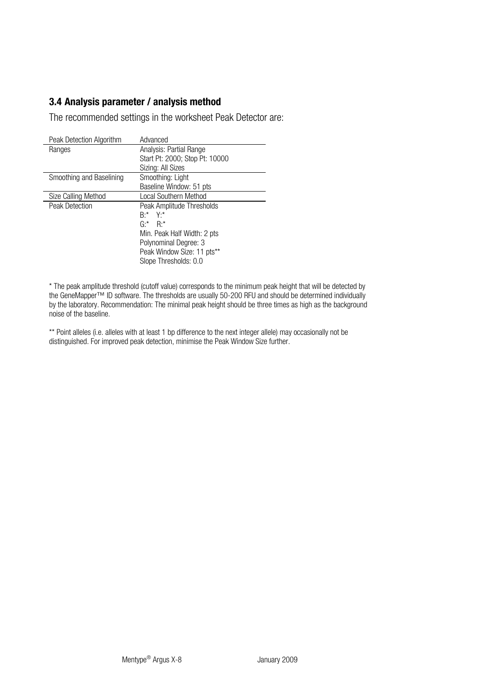# **3.4 Analysis parameter / analysis method**

<span id="page-19-0"></span>20

The recommended settings in the worksheet Peak Detector are:

| Peak Detection Algorithm | Advanced                       |
|--------------------------|--------------------------------|
| Ranges                   | Analysis: Partial Range        |
|                          | Start Pt: 2000; Stop Pt: 10000 |
|                          | Sizing: All Sizes              |
| Smoothing and Baselining | Smoothing: Light               |
|                          | Baseline Window: 51 pts        |
| Size Calling Method      | Local Southern Method          |
| Peak Detection           | Peak Amplitude Thresholds      |
|                          | $R^*$ Y <sub>'</sub> *         |
|                          | $G^*$ $R^*$                    |
|                          | Min. Peak Half Width: 2 pts    |
|                          | Polynominal Degree: 3          |
|                          | Peak Window Size: 11 pts**     |
|                          | Slope Thresholds: 0.0          |

\* The peak amplitude threshold (cutoff value) corresponds to the minimum peak height that will be detected by the GeneMapper™ ID software. The thresholds are usually 50-200 RFU and should be determined individually<br>by the laboratory. Recommendation: The minimal peak height should be three times as high as the background noise of the baseline.

\*\* Point alleles (i.e. alleles with at least 1 bp difference to the next integer allele) may occasionally not be distinguished. For improved peak detection, minimise the Peak Window Size further.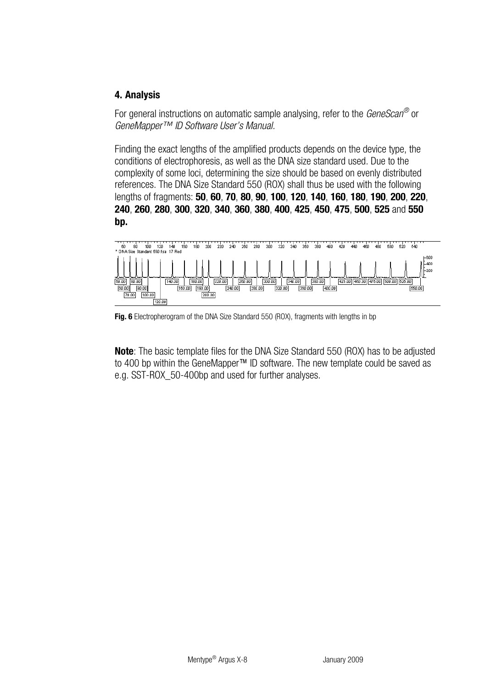# <span id="page-20-0"></span>**4. Analysis**

For general instructions on automatic sample analysing, refer to the *GeneScan®* or *GeneMapper™ ID Software User's Manual.*

Finding the exact lengths of the amplified products depends on the device type, the conditions of electrophoresis, as well as the DNA size standard used. Due to the complexity of some loci, determining the size should be based on evenly distributed references. The DNA Size Standard 550 (ROX) shall thus be used with the following lengths of fragments: **50**, **60**, **70**, **80**, **90**, **100**, **120**, **140**, **160**, **180**, **190**, **200**, **220**, **240**, **260**, **280**, **300**, **320**, **340**, **360**, **380**, **400**, **425**, **450**, **475**, **500**, **525** and **550 bp.** 



**Fig. 6** Electropherogram of the DNA Size Standard 550 (ROX), fragments with lengths in bp

**Note**: The basic template files for the DNA Size Standard 550 (ROX) has to be adjusted to 400 bp within the GeneMapper™ ID software. The new template could be saved as e.g. SST-ROX\_50-400bp and used for further analyses.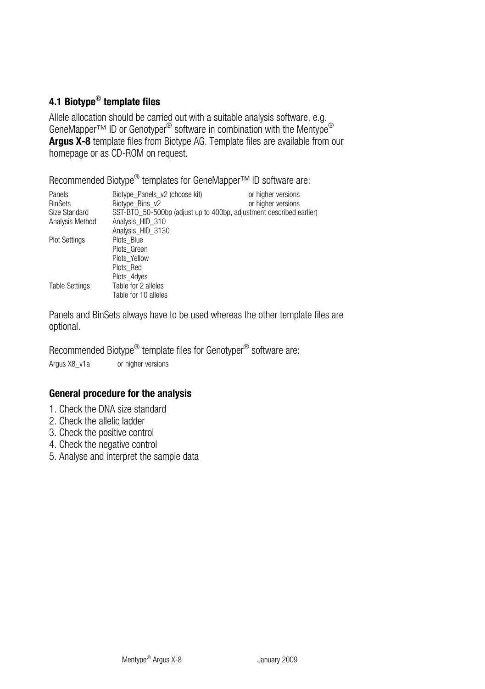# <span id="page-21-0"></span>**4.1 Biotype**® **template files**

Allele allocation should be carried out with a suitable analysis software, e.g. GeneMapper™ ID or Genotyper<sup>®</sup> software in combination with the Mentype<sup>®</sup> **Argus X-8** template files from Biotype AG. Template files are available from our homepage or as CD-ROM on request.

Recommended Biotype<sup>®</sup> templates for GeneMapper<sup>™</sup> ID software are:

| Panels                | Biotype Panels v2 (choose kit)                                      | or higher versions |
|-----------------------|---------------------------------------------------------------------|--------------------|
| <b>BinSets</b>        | Biotype Bins v2                                                     | or higher versions |
| Size Standard         | SST-BTO 50-500bp (adjust up to 400bp, adjustment described earlier) |                    |
| Analysis Method       | Analysis HID 310                                                    |                    |
|                       | Analysis HID 3130                                                   |                    |
| <b>Plot Settings</b>  | Plots Blue                                                          |                    |
|                       | Plots Green                                                         |                    |
|                       | Plots Yellow                                                        |                    |
|                       | Plots Red                                                           |                    |
|                       | Plots 4dyes                                                         |                    |
| <b>Table Settings</b> | Table for 2 alleles                                                 |                    |
|                       | Table for 10 alleles                                                |                    |

Panels and BinSets always have to be used whereas the other template files are optional.

Recommended Biotype® template files for Genotyper® software are:

Argus X8\_v1a or higher versions

# **General procedure for the analysis**

- 1. Check the DNA size standard
- 2. Check the allelic ladder
- 3. Check the positive control
- 4. Check the negative control
- 5. Analyse and interpret the sample data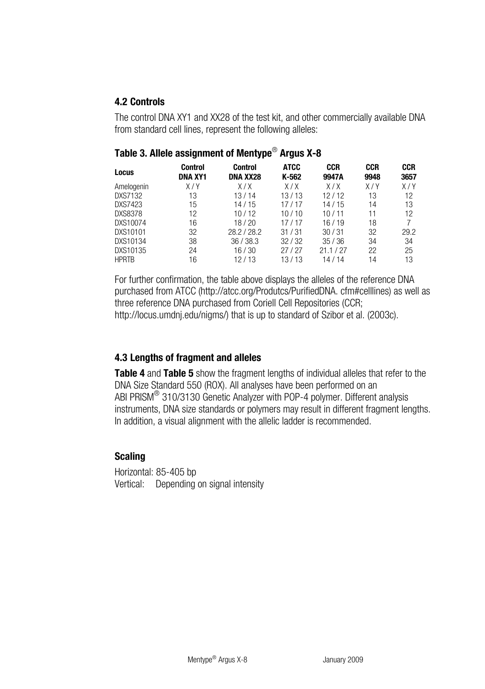# <span id="page-22-0"></span>**4.2 Controls**

The control DNA XY1 and XX28 of the test kit, and other commercially available DNA from standard cell lines, represent the following alleles:

| Locus          | Control<br>DNA XY1 | Control<br>DNA XX28 | <b>ATCC</b><br>K-562 | <b>CCR</b><br>9947A | <b>CCR</b><br>9948 | <b>CCR</b><br>3657 |
|----------------|--------------------|---------------------|----------------------|---------------------|--------------------|--------------------|
| Amelogenin     | X/Y                | X/X                 | X/X                  | X/X                 | X/Y                | X/Y                |
| DXS7132        | 13                 | 13/14               | 13/13                | 12/12               | 13                 | 12                 |
| DXS7423        | 15                 | 14/15               | 17/17                | 14/15               | 14                 | 13                 |
| <b>DXS8378</b> | 12                 | 10/12               | 10/10                | 10/11               | 11                 | 12                 |
| DXS10074       | 16                 | 18/20               | 17/17                | 16/19               | 18                 | 7                  |
| DXS10101       | 32                 | 28.2/28.2           | 31/31                | 30/31               | 32                 | 29.2               |
| DXS10134       | 38                 | 36/38.3             | 32/32                | 35/36               | 34                 | 34                 |
| DXS10135       | 24                 | 16/30               | 27/27                | 21.1/27             | 22                 | 25                 |
| <b>HPRTB</b>   | 16                 | 12/13               | 13/13                | 14/14               | 14                 | 13                 |

# **Table 3. Allele assignment of Mentype**® **Argus X-8**

For further confirmation, the table above displays the alleles of the reference DNA purchased from ATCC ([http://atcc.org/Produtcs/P](http://atcc.org/Produtcs/)urifiedDNA. cfm#celllines) as well as three reference DNA purchased from Coriell Cell Repositories (CCR; http://locus.umdnj.edu/nigms/) that is up to standard of Szibor et al. (2003c).

# **4.3 Lengths of fragment and alleles**

**Table 4** and **Table 5** show the fragment lengths of individual alleles that refer to the DNA Size Standard 550 (ROX). All analyses have been performed on an ABI PRISM® 310/3130 Genetic Analyzer with POP-4 polymer. Different analysis instruments, DNA size standards or polymers may result in different fragment lengths. In addition, a visual alignment with the allelic ladder is recommended.

# **Scaling**

Horizontal: 85-405 bp Vertical: Depending on signal intensity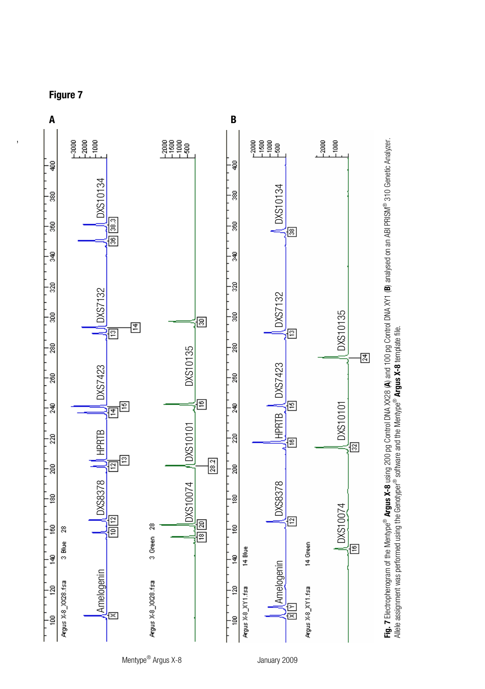



**Figure 7** 

,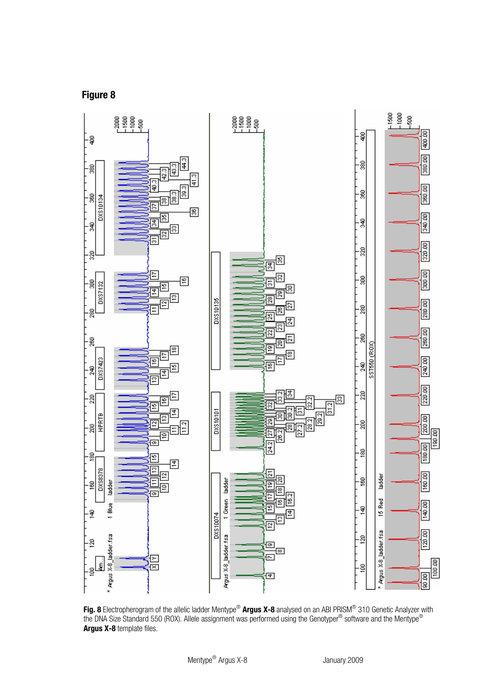**Figure 8** 



**Fig. 8** Electropherogram of the allelic ladder Mentype® **Argus X-8** analysed on an ABI PRISM® 310 Genetic Analyzer with the DNA Size Standard 550 (ROX). Allele assignment was performed using the Genotyper® software and the Mentype® **Argus X-8** template files.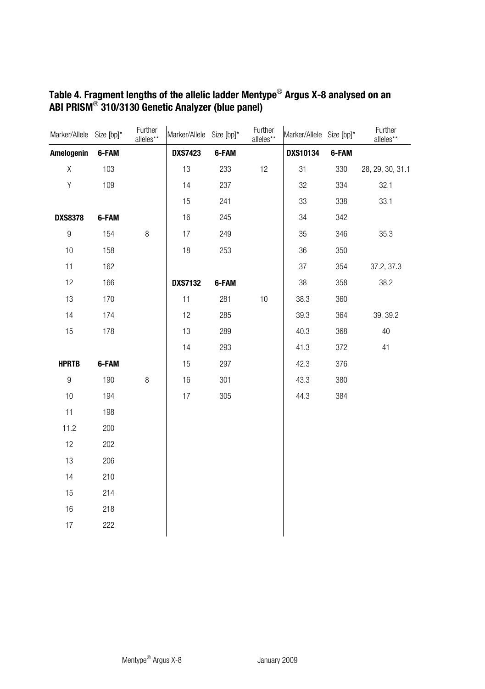| Marker/Allele Size [bp]* |       | Further<br>alleles** | Marker/Allele Size [bp]* |       | Further<br>alleles** | Marker/Allele Size [bp]* |       | Further<br>alleles** |
|--------------------------|-------|----------------------|--------------------------|-------|----------------------|--------------------------|-------|----------------------|
| Amelogenin               | 6-FAM |                      | <b>DXS7423</b>           | 6-FAM |                      | <b>DXS10134</b>          | 6-FAM |                      |
| X                        | 103   |                      | 13                       | 233   | 12                   | 31                       | 330   | 28, 29, 30, 31.1     |
| Υ                        | 109   |                      | 14                       | 237   |                      | 32                       | 334   | 32.1                 |
|                          |       |                      | 15                       | 241   |                      | 33                       | 338   | 33.1                 |
| <b>DXS8378</b>           | 6-FAM |                      | 16                       | 245   |                      | 34                       | 342   |                      |
| 9                        | 154   | 8                    | 17                       | 249   |                      | 35                       | 346   | 35.3                 |
| 10                       | 158   |                      | 18                       | 253   |                      | 36                       | 350   |                      |
| 11                       | 162   |                      |                          |       |                      | 37                       | 354   | 37.2, 37.3           |
| 12                       | 166   |                      | <b>DXS7132</b>           | 6-FAM |                      | 38                       | 358   | 38.2                 |
| 13                       | 170   |                      | 11                       | 281   | 10                   | 38.3                     | 360   |                      |
| 14                       | 174   |                      | 12                       | 285   |                      | 39.3                     | 364   | 39, 39.2             |
| 15                       | 178   |                      | 13                       | 289   |                      | 40.3                     | 368   | 40                   |
|                          |       |                      | 14                       | 293   |                      | 41.3                     | 372   | 41                   |
| <b>HPRTB</b>             | 6-FAM |                      | 15                       | 297   |                      | 42.3                     | 376   |                      |
| 9                        | 190   | $\, 8$               | 16                       | 301   |                      | 43.3                     | 380   |                      |
| 10                       | 194   |                      | 17                       | 305   |                      | 44.3                     | 384   |                      |
| 11                       | 198   |                      |                          |       |                      |                          |       |                      |
| 11.2                     | 200   |                      |                          |       |                      |                          |       |                      |
| 12                       | 202   |                      |                          |       |                      |                          |       |                      |
| 13                       | 206   |                      |                          |       |                      |                          |       |                      |
| 14                       | 210   |                      |                          |       |                      |                          |       |                      |
| 15                       | 214   |                      |                          |       |                      |                          |       |                      |
| 16                       | 218   |                      |                          |       |                      |                          |       |                      |
| 17                       | 222   |                      |                          |       |                      |                          |       |                      |
|                          |       |                      |                          |       |                      |                          |       |                      |

# **Table 4. Fragment lengths of the allelic ladder Mentype**® **Argus X-8 analysed on an ABI PRISM**® **310/3130 Genetic Analyzer (blue panel)**

26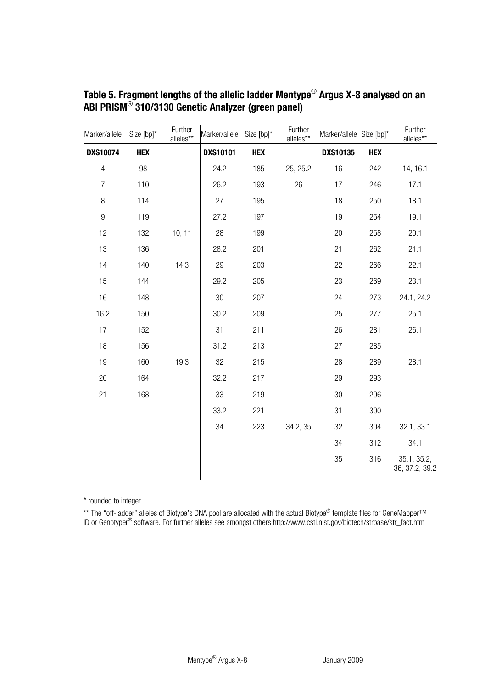| Marker/allele   | Size [bp]* | Further<br>alleles** | Marker/allele Size [bp]* |            | Further<br>alleles** | Marker/allele Size [bp]* |            | Further<br>alleles**          |
|-----------------|------------|----------------------|--------------------------|------------|----------------------|--------------------------|------------|-------------------------------|
| <b>DXS10074</b> | <b>HEX</b> |                      | <b>DXS10101</b>          | <b>HEX</b> |                      | <b>DXS10135</b>          | <b>HEX</b> |                               |
| $\overline{4}$  | 98         |                      | 24.2                     | 185        | 25, 25.2             | 16                       | 242        | 14, 16.1                      |
| $\overline{7}$  | 110        |                      | 26.2                     | 193        | 26                   | 17                       | 246        | 17.1                          |
| 8               | 114        |                      | 27                       | 195        |                      | 18                       | 250        | 18.1                          |
| $\overline{9}$  | 119        |                      | 27.2                     | 197        |                      | 19                       | 254        | 19.1                          |
| 12              | 132        | 10, 11               | 28                       | 199        |                      | 20                       | 258        | 20.1                          |
| 13              | 136        |                      | 28.2                     | 201        |                      | 21                       | 262        | 21.1                          |
| 14              | 140        | 14.3                 | 29                       | 203        |                      | 22                       | 266        | 22.1                          |
| 15              | 144        |                      | 29.2                     | 205        |                      | 23                       | 269        | 23.1                          |
| 16              | 148        |                      | 30                       | 207        |                      | 24                       | 273        | 24.1, 24.2                    |
| 16.2            | 150        |                      | 30.2                     | 209        |                      | 25                       | 277        | 25.1                          |
| 17              | 152        |                      | 31                       | 211        |                      | 26                       | 281        | 26.1                          |
| 18              | 156        |                      | 31.2                     | 213        |                      | 27                       | 285        |                               |
| 19              | 160        | 19.3                 | 32                       | 215        |                      | 28                       | 289        | 28.1                          |
| 20              | 164        |                      | 32.2                     | 217        |                      | 29                       | 293        |                               |
| 21              | 168        |                      | 33                       | 219        |                      | 30                       | 296        |                               |
|                 |            |                      | 33.2                     | 221        |                      | 31                       | 300        |                               |
|                 |            |                      | 34                       | 223        | 34.2, 35             | 32                       | 304        | 32.1, 33.1                    |
|                 |            |                      |                          |            |                      | 34                       | 312        | 34.1                          |
|                 |            |                      |                          |            |                      | 35                       | 316        | 35.1, 35.2,<br>36, 37.2, 39.2 |

# **Table 5. Fragment lengths of the allelic ladder Mentype**® **Argus X-8 analysed on an ABI PRISM**® **310/3130 Genetic Analyzer (green panel)**

\* rounded to integer

\*\* The "off-ladder" alleles of Biotype's DNA pool are allocated with the actual Biotype® template files for GeneMapper™<br>ID or Genotyper® software. For further alleles see amongst others [http://www.cstl.nist.gov/b](http://www.cstl.nist.gov/)iotech/st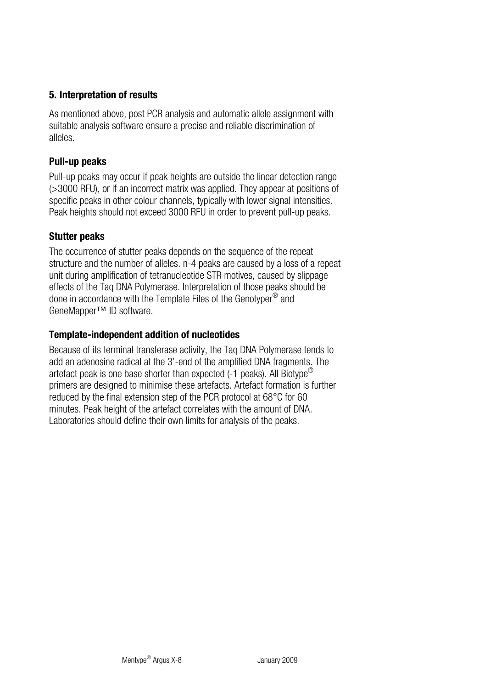# <span id="page-27-0"></span>**5. Interpretation of results**

As mentioned above, post PCR analysis and automatic allele assignment with suitable analysis software ensure a precise and reliable discrimination of alleles.

# **Pull-up peaks**

Pull-up peaks may occur if peak heights are outside the linear detection range (>3000 RFU), or if an incorrect matrix was applied. They appear at positions of specific peaks in other colour channels, typically with lower signal intensities. Peak heights should not exceed 3000 RFU in order to prevent pull-up peaks.

# **Stutter peaks**

The occurrence of stutter peaks depends on the sequence of the repeat structure and the number of alleles. n-4 peaks are caused by a loss of a repeat unit during amplification of tetranucleotide STR motives, caused by slippage effects of the Taq DNA Polymerase. Interpretation of those peaks should be done in accordance with the Template Files of the Genotyper® and GeneMapper™ ID software.

# **Template-independent addition of nucleotides**

Because of its terminal transferase activity, the Taq DNA Polymerase tends to add an adenosine radical at the 3'-end of the amplified DNA fragments. The artefact peak is one base shorter than expected  $(-1)$  peaks). All Biotype<sup>®</sup> primers are designed to minimise these artefacts. Artefact formation is further reduced by the final extension step of the PCR protocol at 68°C for 60 minutes. Peak height of the artefact correlates with the amount of DNA. Laboratories should define their own limits for analysis of the peaks.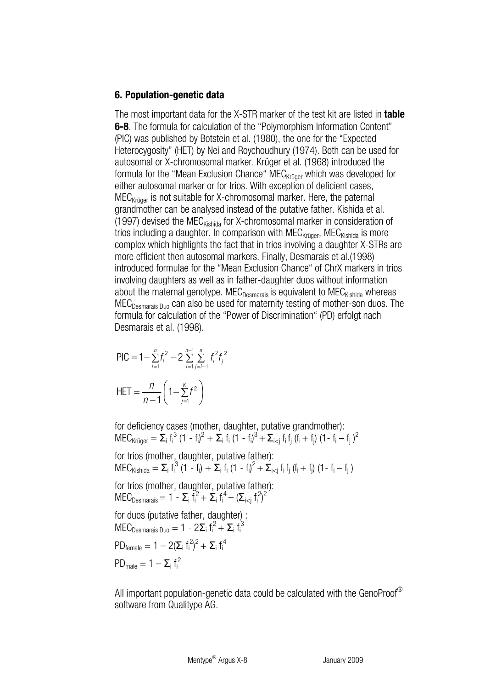### <span id="page-28-0"></span>**6. Population-genetic data**

The most important data for the X-STR marker of the test kit are listed in **table 6-8**. The formula for calculation of the "Polymorphism Information Content" (PIC) was published by Botstein et al. (1980), the one for the "Expected Heterocygosity" (HET) by Nei and Roychoudhury (1974). Both can be used for autosomal or X-chromosomal marker. Krüger et al. (1968) introduced the formula for the "Mean Exclusion Chance" MEC<sub>Krüger</sub> which was developed for either autosomal marker or for trios. With exception of deficient cases,  $MEC<sub>Krüger</sub>$  is not suitable for X-chromosomal marker. Here, the paternal grandmother can be analysed instead of the putative father. Kishida et al. (1997) devised the MEC $_{\text{Kishida}}$  for X-chromosomal marker in consideration of trios including a daughter. In comparison with  $MEC_{\text{Kriiger}}$ ,  $MEC_{\text{Kishida}}$  is more complex which highlights the fact that in trios involving a daughter X-STRs are more efficient then autosomal markers. Finally, Desmarais et al.(1998) introduced formulae for the "Mean Exclusion Chance" of ChrX markers in trios involving daughters as well as in father-daughter duos without information about the maternal genotype. MEC<sub>Desmarais</sub> is equivalent to MEC<sub>Kishida</sub> whereas  $MEC<sub>Desmarais Duo</sub>$  can also be used for maternity testing of mother-son duos. The formula for calculation of the "Power of Discrimination" (PD) erfolgt nach Desmarais et al. (1998).

$$
\begin{aligned} \text{PIC} &= 1 - \sum_{i=1}^{n} t_i^2 - 2 \sum_{i=1}^{n-1} \sum_{j=i+1}^{n} t_i^2 t_j^2 \\ \text{HET} &= \frac{n}{n-1} \left( 1 - \sum_{j=1}^{K} t^2 \right) \end{aligned}
$$

for deficiency cases (mother, daughter, putative grandmother):  $MEC_{Kringer} = \sum_{i} f_i^3 (1 - f_i)^2 + \sum_{i} f_i (1 - f_i)^3 + \sum_{i < j} f_i f_j (f_i + f_j) (1 - f_i - f_j)^2$ 

for trios (mother, daughter, putative father):  $MEC_{\text{Kishida}} = \sum_i f_i^3 (1 - f_i) + \sum_i f_i (1 - f_i)^2 + \sum_{i < j} f_i f_j (f_i + f_j) (1 - f_i - f_j)$ 

for trios (mother, daughter, putative father): MEC<sub>Desmarais</sub> = 1 - Σ<sub>i</sub> f<sub>i</sub><sup>2</sup> + Σ<sub>i</sub> f<sub>i</sub><sup>4</sup> - (Σ<sub>i i</sub> f<sub>i</sub><sup>2</sup>)<sup>2</sup>

for duos (putative father, daughter) :  $MEC_{Desmarais Duo} = 1 - 2\Sigma_i f_i^2 + \Sigma_i f_i^3$ 

$$
PD_{female} = 1 - 2(\Sigma_i f_i^2)^2 + \Sigma_i f_i^4
$$

$$
PD_{male} = 1 - \Sigma_i f_i^2
$$

All important population-genetic data could be calculated with the GenoProof® software from Qualitype AG.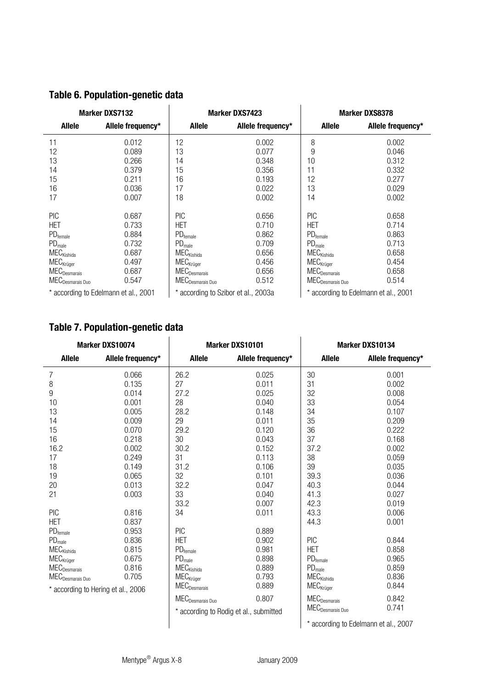| Marker DXS7132                                                                                                                                                                                            |                                                                      |                                                                                                                                                                                                               | <b>Marker DXS7423</b>                                                | Marker DXS8378                                                                                                                                                                                      |                                                                      |  |
|-----------------------------------------------------------------------------------------------------------------------------------------------------------------------------------------------------------|----------------------------------------------------------------------|---------------------------------------------------------------------------------------------------------------------------------------------------------------------------------------------------------------|----------------------------------------------------------------------|-----------------------------------------------------------------------------------------------------------------------------------------------------------------------------------------------------|----------------------------------------------------------------------|--|
| Allele                                                                                                                                                                                                    | Allele frequency*                                                    | Allele                                                                                                                                                                                                        | Allele frequency*                                                    | Allele                                                                                                                                                                                              | Allele frequency*                                                    |  |
| 11<br>12<br>13<br>14<br>15<br>16<br>17                                                                                                                                                                    | 0.012<br>0.089<br>0.266<br>0.379<br>0.211<br>0.036<br>0.007          | 12<br>13<br>14<br>15<br>16<br>17<br>18                                                                                                                                                                        | 0.002<br>0.077<br>0.348<br>0.356<br>0.193<br>0.022<br>0.002          | 8<br>9<br>10<br>11<br>12<br>13<br>14                                                                                                                                                                | 0.002<br>0.046<br>0.312<br>0.332<br>0.277<br>0.029<br>0.002          |  |
| <b>PIC</b><br>HET<br>$PD$ <sub>female</sub><br>PD <sub>male</sub><br>${\sf MEC}_{\sf Kishida}$<br>$MEC_{Kr\bar{u}ger}$<br>$\mathsf{MEC}_{\mathsf{Desmarais}}$<br>$\mathsf{MEC}_{\mathsf{Desmarais\,Duo}}$ | 0.687<br>0.733<br>0.884<br>0.732<br>0.687<br>0.497<br>0.687<br>0.547 | <b>PIC</b><br>HET<br>$PD$ <sub>female</sub><br>PD <sub>male</sub><br><b>MEC</b> <sub>Kishida</sub><br>$MEC_{Kr\bar{u}ger}$<br>$\textrm{MEC}_{\textrm{Desmarais}}$<br>$\mathsf{MEC}_{\mathsf{Desmarais\,Duo}}$ | 0.656<br>0.710<br>0.862<br>0.709<br>0.656<br>0.456<br>0.656<br>0.512 | PIC<br>HET<br>$PD$ <sub>female</sub><br>PD <sub>male</sub><br>${\sf MEC}_{\sf Kishida}$<br>$MEC_{Kr\ddot{u}ger}$<br>$\mathsf{MEC}_{\mathsf{Desmarais}}$<br>$\mathsf{MEC}_{\mathsf{Desmarais\,Duo}}$ | 0.658<br>0.714<br>0.863<br>0.713<br>0.658<br>0.454<br>0.658<br>0.514 |  |
|                                                                                                                                                                                                           | * according to Edelmann et al., 2001                                 |                                                                                                                                                                                                               | * according to Szibor et al., 2003a                                  | * according to Edelmann et al., 2001                                                                                                                                                                |                                                                      |  |

# **Table 6. Population-genetic data**

30

# **Table 7. Population-genetic data**

| Marker DXS10074                          |                                    |                                     | Marker DXS10101                        | Marker DXS10134                          |                                      |
|------------------------------------------|------------------------------------|-------------------------------------|----------------------------------------|------------------------------------------|--------------------------------------|
| Allele                                   | Allele frequency*                  | Allele<br>Allele frequency*         |                                        | Allele                                   | Allele frequency*                    |
| $\overline{7}$                           | 0.066                              | 26.2                                | 0.025                                  | 30                                       | 0.001                                |
| 8                                        | 0.135                              | 27                                  | 0.011                                  | 31                                       | 0.002                                |
| 9                                        | 0.014                              | 27.2                                | 0.025                                  | 32                                       | 0.008                                |
| 10                                       | 0.001                              | 28                                  | 0.040                                  | 33                                       | 0.054                                |
| 13                                       | 0.005                              | 28.2                                | 0.148                                  | 34                                       | 0.107                                |
| 14                                       | 0.009                              | 29                                  | 0.011                                  | 35                                       | 0.209                                |
| 15                                       | 0.070                              | 29.2                                | 0.120                                  | 36                                       | 0.222                                |
| 16                                       | 0.218                              | 30                                  | 0.043                                  | 37                                       | 0.168                                |
| 16.2                                     | 0.002                              | 30.2                                | 0.152                                  | 37.2                                     | 0.002                                |
| 17                                       | 0.249                              | 31                                  | 0.113                                  | 38                                       | 0.059                                |
| 18                                       | 0.149                              | 31.2                                | 0.106                                  | 39                                       | 0.035                                |
| 19                                       | 0.065                              | 32                                  | 0.101                                  | 39.3                                     | 0.036                                |
| 20                                       | 0.013                              | 32.2                                | 0.047                                  | 40.3                                     | 0.044                                |
| 21                                       | 0.003                              | 33                                  | 0.040                                  | 41.3                                     | 0.027                                |
|                                          |                                    | 33.2                                | 0.007                                  | 42.3                                     | 0.019                                |
| PIC                                      | 0.816                              | 34                                  | 0.011                                  | 43.3                                     | 0.006                                |
| <b>HFT</b>                               | 0.837                              |                                     |                                        | 44.3                                     | 0.001                                |
| $PD$ <sub>female</sub>                   | 0.953                              | PIC                                 | 0.889                                  |                                          |                                      |
| PD <sub>male</sub>                       | 0.836                              | <b>HET</b>                          | 0.902                                  | PIC                                      | 0.844                                |
| <b>MEC</b> <sub>Kishida</sub>            | 0.815                              | $\rm PD_{female}$                   | 0.981                                  | <b>HET</b>                               | 0.858                                |
| $\mathsf{MEC}_{\mathsf{Kr{\ddot o}ger}}$ | 0.675                              | $\mathsf{PD}_\mathsf{male}$         | 0.898                                  | $PD$ <sub>female</sub>                   | 0.965                                |
| ${\sf MEC}_{\sf Desmarais}$              | 0.816                              | $MEC_{Kishida}$                     | 0.889                                  | $\mathsf{PD}_\mathsf{male}$              | 0.859                                |
| $\mathsf{MEC}_{\mathsf{Desmarais\,Duo}}$ | 0.705                              | <b>MEC</b> <sub>Krüger</sub>        | 0.793                                  | $\mathsf{MEC}_{\mathsf{Kishida}}$        | 0.836                                |
|                                          | * according to Hering et al., 2006 | $\mathsf{MEC}_{\mathsf{Desmarais}}$ | 0.889                                  | $\mathsf{MEC}_{\mathsf{Kr{\ddot o}ger}}$ | 0.844                                |
|                                          |                                    | MEC <sub>Desmarais</sub> Duo        | 0.807                                  | $\mathsf{MEC}_{\mathsf{Desmarais}}$      | 0.842                                |
|                                          |                                    |                                     | * according to Rodig et al., submitted | MEC <sub>Desmarais</sub> Duo             | 0.741                                |
|                                          |                                    |                                     |                                        |                                          | * according to Edelmann et al., 2007 |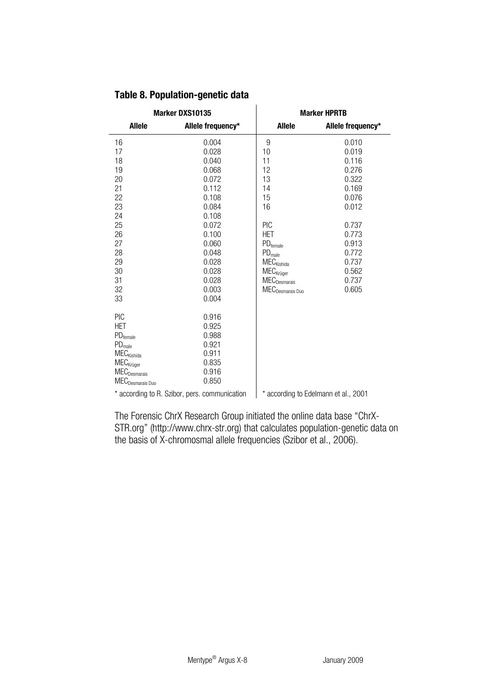|                                          | Marker DXS10135                               | <b>Marker HPRTB</b>                      |                                      |  |  |
|------------------------------------------|-----------------------------------------------|------------------------------------------|--------------------------------------|--|--|
| Allele                                   | Allele frequency*                             | Allele                                   | Allele frequency*                    |  |  |
| 16                                       | 0.004                                         | 9                                        | 0.010                                |  |  |
| 17                                       | 0.028                                         | 10                                       | 0.019                                |  |  |
| 18                                       | 0.040                                         | 11                                       | 0.116                                |  |  |
| 19                                       | 0.068                                         | 12                                       | 0.276                                |  |  |
| 20                                       | 0.072                                         | 13                                       | 0.322                                |  |  |
| 21                                       | 0.112                                         | 14                                       | 0.169                                |  |  |
| 22                                       | 0.108                                         | 15                                       | 0.076                                |  |  |
| 23                                       | 0.084                                         | 16                                       | 0.012                                |  |  |
| 24                                       | 0.108                                         |                                          |                                      |  |  |
| 25                                       | 0.072                                         | PIC                                      | 0.737                                |  |  |
| 26                                       | 0.100                                         | <b>HET</b>                               | 0.773                                |  |  |
| 27                                       | 0.060                                         | $\rm PD_{female}$                        | 0.913                                |  |  |
| 28                                       | 0.048                                         | $\mathsf{PD}_\mathsf{male}$              | 0.772                                |  |  |
| 29                                       | 0.028                                         | $\mathsf{MEC}_{\mathsf{Kishida}}$        | 0.737                                |  |  |
| 30                                       | 0.028                                         | $\mathsf{MEC}_{\mathsf{Kr{\ddot o}ger}}$ | 0.562                                |  |  |
| 31                                       | 0.028                                         | $\mathsf{MEC}_{\mathsf{Desmarais}}$      | 0.737                                |  |  |
| 32                                       | 0.003                                         | $\mathsf{MEC}_{\mathsf{Desmarais\,Duo}}$ | 0.605                                |  |  |
| 33                                       | 0.004                                         |                                          |                                      |  |  |
| PIC                                      | 0.916                                         |                                          |                                      |  |  |
| <b>HFT</b>                               | 0.925                                         |                                          |                                      |  |  |
| $PD$ <sub>female</sub>                   | 0.988                                         |                                          |                                      |  |  |
| PD <sub>male</sub>                       | 0.921                                         |                                          |                                      |  |  |
| <b>MEC</b> <sub>Kishida</sub>            | 0.911                                         |                                          |                                      |  |  |
| $\mathsf{MEC}_{\mathsf{Kr{\ddot o}ger}}$ | 0.835                                         |                                          |                                      |  |  |
| ${\sf MEC}_{\sf Desmarais}$              | 0.916                                         |                                          |                                      |  |  |
| MEC <sub>Desmarais</sub> Duo             | 0.850                                         |                                          |                                      |  |  |
|                                          | * according to R. Szibor, pers. communication |                                          | * according to Edelmann et al., 2001 |  |  |

# **Table 8. Population-genetic data**

The Forensic ChrX Research Group initiated the online data base "ChrX-STR.org" (http://www.chrx-str.org) that calculates population-genetic data on the basis of X-chromosmal allele frequencies (Szibor et al., 2006).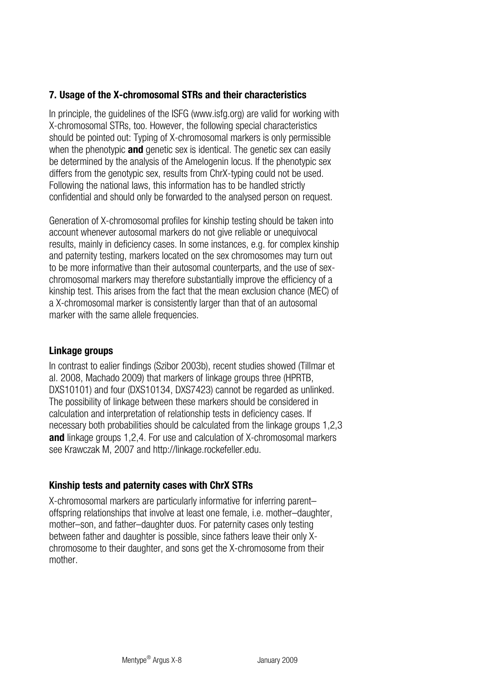# <span id="page-31-0"></span>**7. Usage of the X-chromosomal STRs and their characteristics**

In principle, the guidelines of the ISFG [\(www.isfg.org](http://www.isfg.org/)) are valid for working with X-chromosomal STRs, too. However, the following special characteristics should be pointed out: Typing of X-chromosomal markers is only permissible when the phenotypic **and** genetic sex is identical. The genetic sex can easily be determined by the analysis of the Amelogenin locus. If the phenotypic sex differs from the genotypic sex, results from ChrX-typing could not be used. Following the national laws, this information has to be handled strictly confidential and should only be forwarded to the analysed person on request.

Generation of X-chromosomal profiles for kinship testing should be taken into account whenever autosomal markers do not give reliable or unequivocal results, mainly in deficiency cases. In some instances, e.g. for complex kinship and paternity testing, markers located on the sex chromosomes may turn out to be more informative than their autosomal counterparts, and the use of sexchromosomal markers may therefore substantially improve the efficiency of a kinship test. This arises from the fact that the mean exclusion chance (MEC) of a X-chromosomal marker is consistently larger than that of an autosomal marker with the same allele frequencies.

### **Linkage groups**

In contrast to ealier findings (Szibor 2003b), recent studies showed (Tillmar et al. 2008, Machado 2009) that markers of linkage groups three (HPRTB, DXS10101) and four (DXS10134, DXS7423) cannot be regarded as unlinked. The possibility of linkage between these markers should be considered in calculation and interpretation of relationship tests in deficiency cases. If necessary both probabilities should be calculated from the linkage groups 1,2,3 **and** linkage groups 1,2,4. For use and calculation of X-chromosomal markers see Krawczak M, 2007 and http://linkage.rockefeller.edu.

# **Kinship tests and paternity cases with ChrX STRs**

X-chromosomal markers are particularly informative for inferring parent– offspring relationships that involve at least one female, i.e. mother–daughter, mother–son, and father–daughter duos. For paternity cases only testing between father and daughter is possible, since fathers leave their only Xchromosome to their daughter, and sons get the X-chromosome from their mother.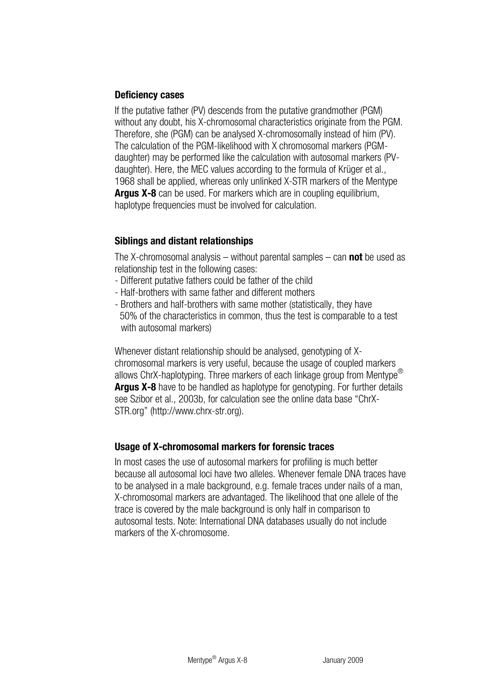# **Deficiency cases**

If the putative father (PV) descends from the putative grandmother (PGM) without any doubt, his X-chromosomal characteristics originate from the PGM. Therefore, she (PGM) can be analysed X-chromosomally instead of him (PV). The calculation of the PGM-likelihood with X chromosomal markers (PGMdaughter) may be performed like the calculation with autosomal markers (PVdaughter). Here, the MEC values according to the formula of Krüger et al., 1968 shall be applied, whereas only unlinked X-STR markers of the Mentype **Argus X-8** can be used. For markers which are in coupling equilibrium, haplotype frequencies must be involved for calculation.

# **Siblings and distant relationships**

The X-chromosomal analysis – without parental samples – can **not** be used as relationship test in the following cases:

- Different putative fathers could be father of the child
- Half-brothers with same father and different mothers
- Brothers and half-brothers with same mother (statistically, they have 50% of the characteristics in common, thus the test is comparable to a test with autosomal markers)

Whenever distant relationship should be analysed, genotyping of Xchromosomal markers is very useful, because the usage of coupled markers allows ChrX-haplotyping. Three markers of each linkage group from Mentype<sup>®</sup> **Argus X-8** have to be handled as haplotype for genotyping. For further details see Szibor et al., 2003b, for calculation see the online data base "ChrX-STR.org" (http://www.chrx-str.org).

# **Usage of X-chromosomal markers for forensic traces**

In most cases the use of autosomal markers for profiling is much better because all autosomal loci have two alleles. Whenever female DNA traces have to be analysed in a male background, e.g. female traces under nails of a man, X-chromosomal markers are advantaged. The likelihood that one allele of the trace is covered by the male background is only half in comparison to autosomal tests. Note: International DNA databases usually do not include markers of the X-chromosome.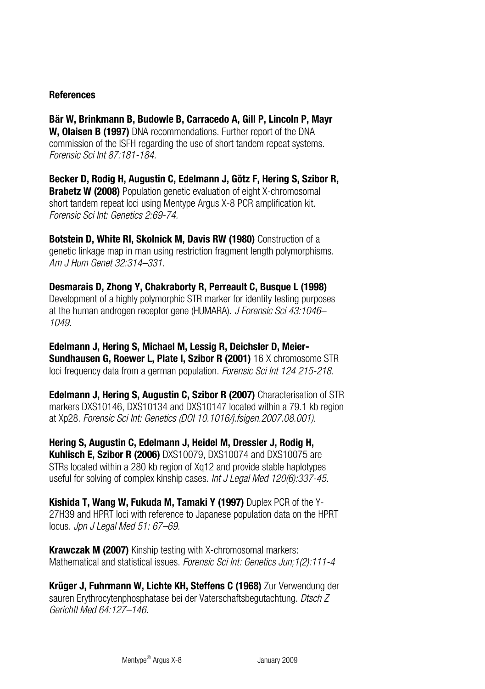### **References**

**Bär W, Brinkmann B, Budowle B, Carracedo A, Gill P, Lincoln P, Mayr W, Olaisen B (1997)** DNA recommendations. Further report of the DNA commission of the ISFH regarding the use of short tandem repeat systems. *Forensic Sci Int 87:181-184.* 

**Becker D, Rodig H, Augustin C, Edelmann J, Götz F, Hering S, Szibor R, Brabetz W (2008)** Population genetic evaluation of eight X-chromosomal short tandem repeat loci using Mentype Argus X-8 PCR amplification kit. *Forensic Sci Int: Genetics 2:69-74.* 

**Botstein D, White RI, Skolnick M, Davis RW (1980)** Construction of a genetic linkage map in man using restriction fragment length polymorphisms. *Am J Hum Genet 32:314–331.* 

**Desmarais D, Zhong Y, Chakraborty R, Perreault C, Busque L (1998)** Development of a highly polymorphic STR marker for identity testing purposes at the human androgen receptor gene (HUMARA). *J Forensic Sci 43:1046– 1049.* 

**Edelmann J, Hering S, Michael M, Lessig R, Deichsler D, Meier-Sundhausen G, Roewer L, Plate I, Szibor R (2001)** 16 X chromosome STR loci frequency data from a german population. *Forensic Sci Int 124 215-218.*

**Edelmann J, Hering S, Augustin C, Szibor R (2007)** Characterisation of STR markers DXS10146, DXS10134 and DXS10147 located within a 79.1 kb region at Xp28. *Forensic Sci Int: Genetics (DOI 10.1016/j.fsigen.2007.08.001).*

**Hering S, Augustin C, Edelmann J, Heidel M, Dressler J, Rodig H, Kuhlisch E, Szibor R (2006)** DXS10079, DXS10074 and DXS10075 are STRs located within a 280 kb region of Xq12 and provide stable haplotypes useful for solving of complex kinship cases. *Int J Legal Med 120(6):337-45.* 

**Kishida T, Wang W, Fukuda M, Tamaki Y (1997)** Duplex PCR of the Y-27H39 and HPRT loci with reference to Japanese population data on the HPRT locus. *Jpn J Legal Med 51: 67–69.* 

**Krawczak M (2007)** Kinship testing with X-chromosomal markers: Mathematical and statistical issues. *Forensic Sci Int: Genetics Jun;1(2):111-4*

**Krüger J, Fuhrmann W, Lichte KH, Steffens C (1968)** Zur Verwendung der sauren Erythrocytenphosphatase bei der Vaterschaftsbegutachtung. *Dtsch Z Gerichtl Med 64:127–146.*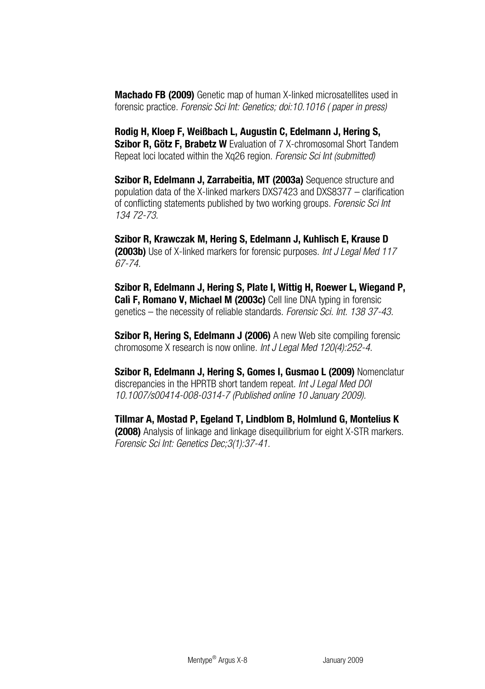**Machado FB (2009)** Genetic map of human X-linked microsatellites used in forensic practice. *Forensic Sci Int: Genetics; doi:10.1016 ( paper in press)*

**Rodig H, Kloep F, Weißbach L, Augustin C, Edelmann J, Hering S, Szibor R, Götz F, Brabetz W** Evaluation of 7 X-chromosomal Short Tandem Repeat loci located within the Xq26 region. *Forensic Sci Int (submitted)* 

**Szibor R, Edelmann J, Zarrabeitia, MT (2003a)** Sequence structure and population data of the X-linked markers DXS7423 and DXS8377 – clarification of conflicting statements published by two working groups. *Forensic Sci Int 134 72-73.* 

**Szibor R, Krawczak M, Hering S, Edelmann J, Kuhlisch E, Krause D (2003b)** Use of X-linked markers for forensic purposes. *Int J Legal Med 117 67-74.* 

**Szibor R, Edelmann J, Hering S, Plate I, Wittig H, Roewer L, Wiegand P, Calì F, Romano V, Michael M (2003c)** Cell line DNA typing in forensic genetics – the necessity of reliable standards. *Forensic Sci. Int. 138 37-43.*

**Szibor R, Hering S, Edelmann J (2006)** A new Web site compiling forensic chromosome X research is now online. *Int J Legal Med 120(4):252-4.* 

**Szibor R, Edelmann J, Hering S, Gomes I, Gusmao L (2009)** Nomenclatur discrepancies in the HPRTB short tandem repeat. *Int J Legal Med DOI 10.1007/s00414-008-0314-7 (Published online 10 January 2009).* 

**Tillmar A, Mostad P, Egeland T, Lindblom B, Holmlund G, Montelius K (2008)** Analysis of linkage and linkage disequilibrium for eight X-STR markers. *Forensic Sci Int: Genetics Dec;3(1):37-41.*